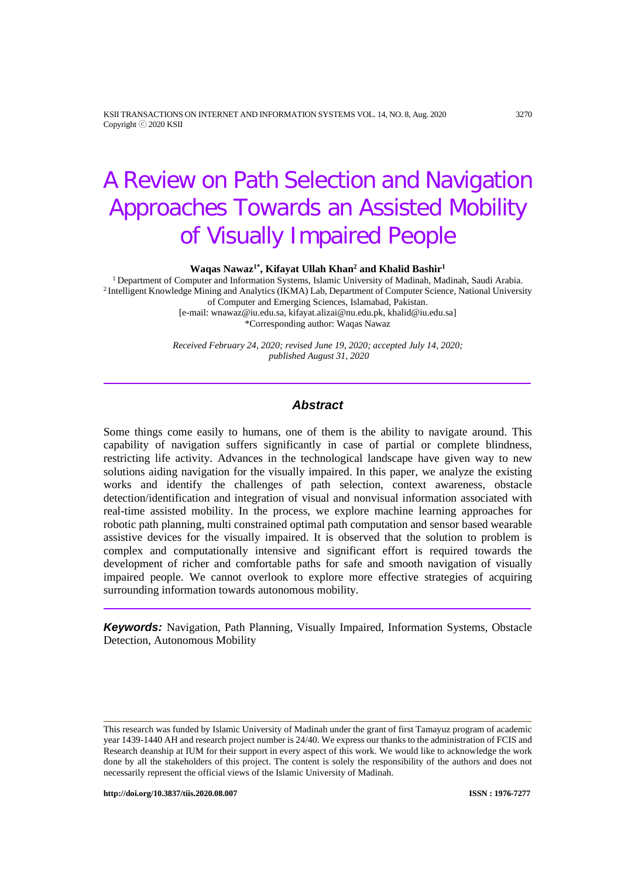KSII TRANSACTIONS ON INTERNET AND INFORMATION SYSTEMS VOL. 14, NO. 8, Aug. 2020 3270 Copyright ⓒ 2020 KSII

# A Review on Path Selection and Navigation Approaches Towards an Assisted Mobility of Visually Impaired People

**Waqas Nawaz1\* , Kifayat Ullah Khan2 and Khalid Bashir1**

<sup>1</sup> Department of Computer and Information Systems, Islamic University of Madinah, Madinah, Saudi Arabia. <sup>2</sup> Intelligent Knowledge Mining and Analytics (IKMA) Lab, Department of Computer Science, National University of Computer and Emerging Sciences, Islamabad, Pakistan. [e-mail: wnawaz@iu.edu.sa, kifayat.alizai@nu.edu.pk, khalid@iu.edu.sa]

\*Corresponding author: Waqas Nawaz

*Received February 24, 2020; revised June 19, 2020; accepted July 14, 2020; published August 31, 2020*

## *Abstract*

Some things come easily to humans, one of them is the ability to navigate around. This capability of navigation suffers significantly in case of partial or complete blindness, restricting life activity. Advances in the technological landscape have given way to new solutions aiding navigation for the visually impaired. In this paper, we analyze the existing works and identify the challenges of path selection, context awareness, obstacle detection/identification and integration of visual and nonvisual information associated with real-time assisted mobility. In the process, we explore machine learning approaches for robotic path planning, multi constrained optimal path computation and sensor based wearable assistive devices for the visually impaired. It is observed that the solution to problem is complex and computationally intensive and significant effort is required towards the development of richer and comfortable paths for safe and smooth navigation of visually impaired people. We cannot overlook to explore more effective strategies of acquiring surrounding information towards autonomous mobility.

*Keywords:* Navigation, Path Planning, Visually Impaired, Information Systems, Obstacle Detection, Autonomous Mobility

This research was funded by Islamic University of Madinah under the grant of first Tamayuz program of academic year 1439-1440 AH and research project number is 24/40. We express our thanks to the administration of FCIS and Research deanship at IUM for their support in every aspect of this work. We would like to acknowledge the work done by all the stakeholders of this project. The content is solely the responsibility of the authors and does not necessarily represent the official views of the Islamic University of Madinah.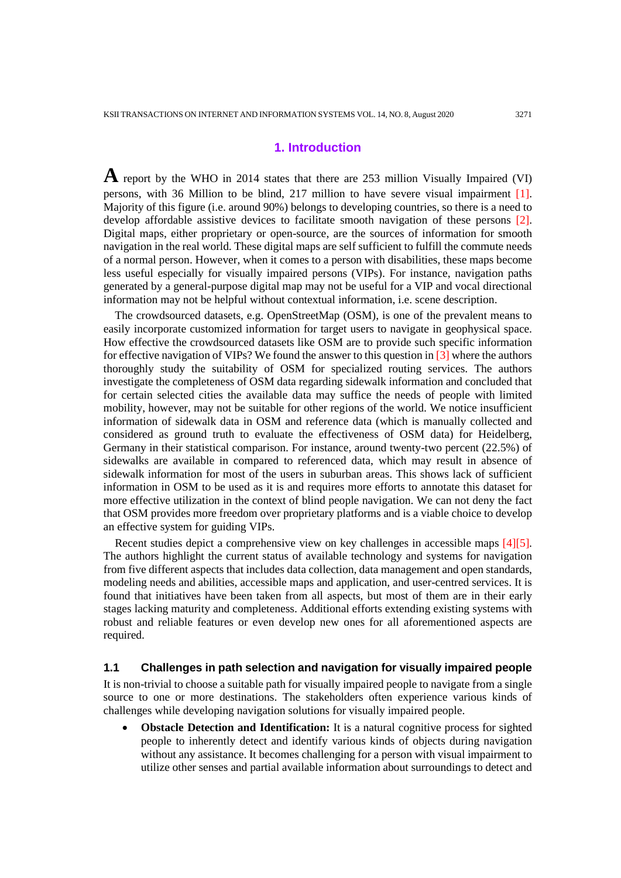## **1. Introduction**

**A** report by the WHO in 2014 states that there are 253 million Visually Impaired (VI) persons, with 36 Million to be blind, 217 million to have severe visual impairment [1]. Majority of this figure (i.e. around 90%) belongs to developing countries, so there is a need to develop affordable assistive devices to facilitate smooth navigation of these persons [2]. Digital maps, either proprietary or open-source, are the sources of information for smooth navigation in the real world. These digital maps are self sufficient to fulfill the commute needs of a normal person. However, when it comes to a person with disabilities, these maps become less useful especially for visually impaired persons (VIPs). For instance, navigation paths generated by a general-purpose digital map may not be useful for a VIP and vocal directional information may not be helpful without contextual information, i.e. scene description.

The crowdsourced datasets, e.g. OpenStreetMap (OSM), is one of the prevalent means to easily incorporate customized information for target users to navigate in geophysical space. How effective the crowdsourced datasets like OSM are to provide such specific information for effective navigation of VIPs? We found the answer to this question in [3] where the authors thoroughly study the suitability of OSM for specialized routing services. The authors investigate the completeness of OSM data regarding sidewalk information and concluded that for certain selected cities the available data may suffice the needs of people with limited mobility, however, may not be suitable for other regions of the world. We notice insufficient information of sidewalk data in OSM and reference data (which is manually collected and considered as ground truth to evaluate the effectiveness of OSM data) for Heidelberg, Germany in their statistical comparison. For instance, around twenty-two percent (22.5%) of sidewalks are available in compared to referenced data, which may result in absence of sidewalk information for most of the users in suburban areas. This shows lack of sufficient information in OSM to be used as it is and requires more efforts to annotate this dataset for more effective utilization in the context of blind people navigation. We can not deny the fact that OSM provides more freedom over proprietary platforms and is a viable choice to develop an effective system for guiding VIPs.

Recent studies depict a comprehensive view on key challenges in accessible maps [4][5]. The authors highlight the current status of available technology and systems for navigation from five different aspects that includes data collection, data management and open standards, modeling needs and abilities, accessible maps and application, and user-centred services. It is found that initiatives have been taken from all aspects, but most of them are in their early stages lacking maturity and completeness. Additional efforts extending existing systems with robust and reliable features or even develop new ones for all aforementioned aspects are required.

#### **1.1 Challenges in path selection and navigation for visually impaired people**

It is non-trivial to choose a suitable path for visually impaired people to navigate from a single source to one or more destinations. The stakeholders often experience various kinds of challenges while developing navigation solutions for visually impaired people.

**Obstacle Detection and Identification:** It is a natural cognitive process for sighted people to inherently detect and identify various kinds of objects during navigation without any assistance. It becomes challenging for a person with visual impairment to utilize other senses and partial available information about surroundings to detect and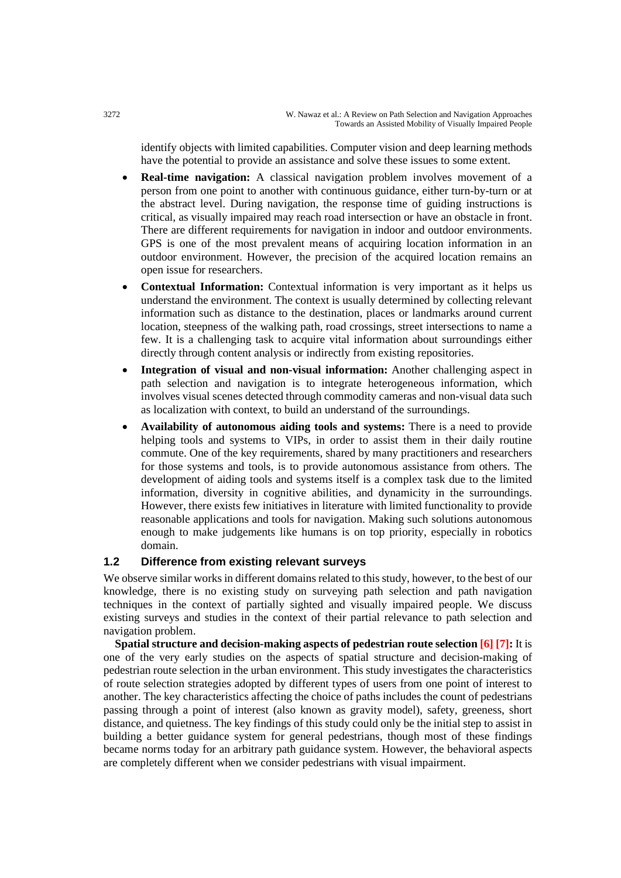identify objects with limited capabilities. Computer vision and deep learning methods have the potential to provide an assistance and solve these issues to some extent.

- **Real-time navigation:** A classical navigation problem involves movement of a person from one point to another with continuous guidance, either turn-by-turn or at the abstract level. During navigation, the response time of guiding instructions is critical, as visually impaired may reach road intersection or have an obstacle in front. There are different requirements for navigation in indoor and outdoor environments. GPS is one of the most prevalent means of acquiring location information in an outdoor environment. However, the precision of the acquired location remains an open issue for researchers.
- **Contextual Information:** Contextual information is very important as it helps us understand the environment. The context is usually determined by collecting relevant information such as distance to the destination, places or landmarks around current location, steepness of the walking path, road crossings, street intersections to name a few. It is a challenging task to acquire vital information about surroundings either directly through content analysis or indirectly from existing repositories.
- **Integration of visual and non-visual information:** Another challenging aspect in path selection and navigation is to integrate heterogeneous information, which involves visual scenes detected through commodity cameras and non-visual data such as localization with context, to build an understand of the surroundings.
- **Availability of autonomous aiding tools and systems:** There is a need to provide helping tools and systems to VIPs, in order to assist them in their daily routine commute. One of the key requirements, shared by many practitioners and researchers for those systems and tools, is to provide autonomous assistance from others. The development of aiding tools and systems itself is a complex task due to the limited information, diversity in cognitive abilities, and dynamicity in the surroundings. However, there exists few initiatives in literature with limited functionality to provide reasonable applications and tools for navigation. Making such solutions autonomous enough to make judgements like humans is on top priority, especially in robotics domain.

#### **1.2 Difference from existing relevant surveys**

We observe similar works in different domains related to this study, however, to the best of our knowledge, there is no existing study on surveying path selection and path navigation techniques in the context of partially sighted and visually impaired people. We discuss existing surveys and studies in the context of their partial relevance to path selection and navigation problem.

**Spatial structure and decision-making aspects of pedestrian route selection [6] [7]:** It is one of the very early studies on the aspects of spatial structure and decision-making of pedestrian route selection in the urban environment. This study investigates the characteristics of route selection strategies adopted by different types of users from one point of interest to another. The key characteristics affecting the choice of paths includes the count of pedestrians passing through a point of interest (also known as gravity model), safety, greeness, short distance, and quietness. The key findings of this study could only be the initial step to assist in building a better guidance system for general pedestrians, though most of these findings became norms today for an arbitrary path guidance system. However, the behavioral aspects are completely different when we consider pedestrians with visual impairment.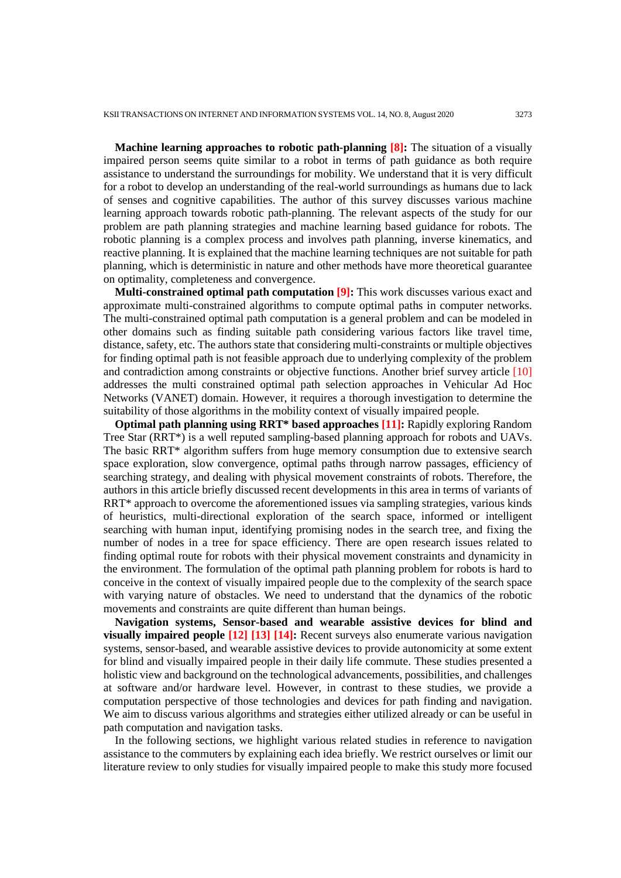**Machine learning approaches to robotic path-planning [8]:** The situation of a visually impaired person seems quite similar to a robot in terms of path guidance as both require assistance to understand the surroundings for mobility. We understand that it is very difficult for a robot to develop an understanding of the real-world surroundings as humans due to lack of senses and cognitive capabilities. The author of this survey discusses various machine learning approach towards robotic path-planning. The relevant aspects of the study for our problem are path planning strategies and machine learning based guidance for robots. The robotic planning is a complex process and involves path planning, inverse kinematics, and reactive planning. It is explained that the machine learning techniques are not suitable for path planning, which is deterministic in nature and other methods have more theoretical guarantee on optimality, completeness and convergence.

**Multi-constrained optimal path computation [9]:** This work discusses various exact and approximate multi-constrained algorithms to compute optimal paths in computer networks. The multi-constrained optimal path computation is a general problem and can be modeled in other domains such as finding suitable path considering various factors like travel time, distance, safety, etc. The authors state that considering multi-constraints or multiple objectives for finding optimal path is not feasible approach due to underlying complexity of the problem and contradiction among constraints or objective functions. Another brief survey article [10] addresses the multi constrained optimal path selection approaches in Vehicular Ad Hoc Networks (VANET) domain. However, it requires a thorough investigation to determine the suitability of those algorithms in the mobility context of visually impaired people.

**Optimal path planning using RRT\* based approaches [11]:** Rapidly exploring Random Tree Star (RRT\*) is a well reputed sampling-based planning approach for robots and UAVs. The basic RRT\* algorithm suffers from huge memory consumption due to extensive search space exploration, slow convergence, optimal paths through narrow passages, efficiency of searching strategy, and dealing with physical movement constraints of robots. Therefore, the authors in this article briefly discussed recent developments in this area in terms of variants of RRT\* approach to overcome the aforementioned issues via sampling strategies, various kinds of heuristics, multi-directional exploration of the search space, informed or intelligent searching with human input, identifying promising nodes in the search tree, and fixing the number of nodes in a tree for space efficiency. There are open research issues related to finding optimal route for robots with their physical movement constraints and dynamicity in the environment. The formulation of the optimal path planning problem for robots is hard to conceive in the context of visually impaired people due to the complexity of the search space with varying nature of obstacles. We need to understand that the dynamics of the robotic movements and constraints are quite different than human beings.

**Navigation systems, Sensor-based and wearable assistive devices for blind and visually impaired people [12] [13] [14]:** Recent surveys also enumerate various navigation systems, sensor-based, and wearable assistive devices to provide autonomicity at some extent for blind and visually impaired people in their daily life commute. These studies presented a holistic view and background on the technological advancements, possibilities, and challenges at software and/or hardware level. However, in contrast to these studies, we provide a computation perspective of those technologies and devices for path finding and navigation. We aim to discuss various algorithms and strategies either utilized already or can be useful in path computation and navigation tasks.

In the following sections, we highlight various related studies in reference to navigation assistance to the commuters by explaining each idea briefly. We restrict ourselves or limit our literature review to only studies for visually impaired people to make this study more focused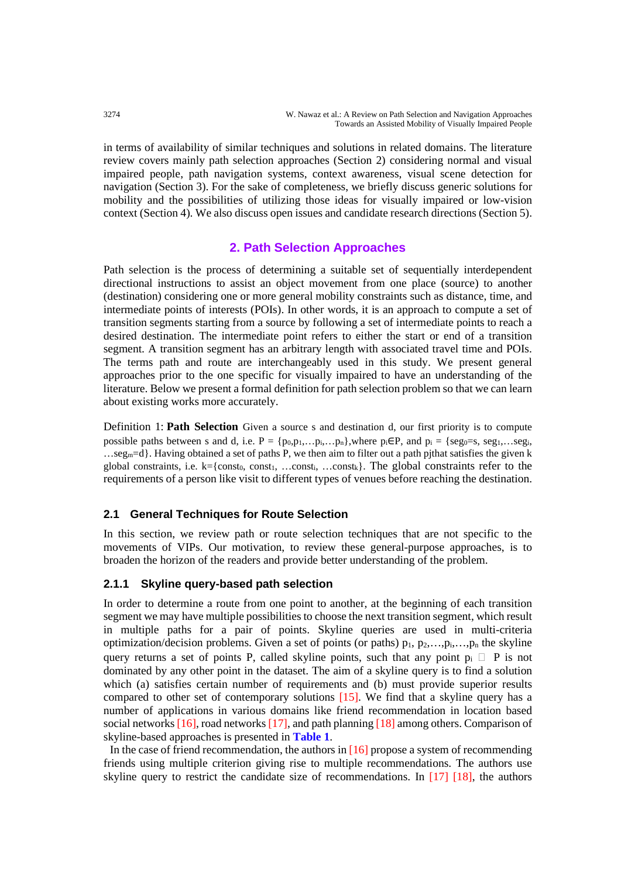in terms of availability of similar techniques and solutions in related domains. The literature review covers mainly path selection approaches (Section 2) considering normal and visual impaired people, path navigation systems, context awareness, visual scene detection for navigation (Section 3). For the sake of completeness, we briefly discuss generic solutions for mobility and the possibilities of utilizing those ideas for visually impaired or low-vision context (Section 4). We also discuss open issues and candidate research directions (Section 5).

## **2. Path Selection Approaches**

Path selection is the process of determining a suitable set of sequentially interdependent directional instructions to assist an object movement from one place (source) to another (destination) considering one or more general mobility constraints such as distance, time, and intermediate points of interests (POIs). In other words, it is an approach to compute a set of transition segments starting from a source by following a set of intermediate points to reach a desired destination. The intermediate point refers to either the start or end of a transition segment. A transition segment has an arbitrary length with associated travel time and POIs. The terms path and route are interchangeably used in this study. We present general approaches prior to the one specific for visually impaired to have an understanding of the literature. Below we present a formal definition for path selection problem so that we can learn about existing works more accurately.

Definition 1: **Path Selection** Given a source s and destination d, our first priority is to compute possible paths between s and d, i.e.  $P = \{p_0, p_1, \ldots, p_i, \ldots, p_n\}$ , where  $p_i \in P$ , and  $p_i = \{seg_0 = s, seg_1, \ldots, seg_i,$  $...$ seg<sub>m</sub>=d}. Having obtained a set of paths P, we then aim to filter out a path pithat satisfies the given k global constraints, i.e.  $k = \{const_0, const_1, ... const_k\}$ . The global constraints refer to the requirements of a person like visit to different types of venues before reaching the destination.

## **2.1 General Techniques for Route Selection**

In this section, we review path or route selection techniques that are not specific to the movements of VIPs. Our motivation, to review these general-purpose approaches, is to broaden the horizon of the readers and provide better understanding of the problem.

## **2.1.1 Skyline query-based path selection**

In order to determine a route from one point to another, at the beginning of each transition segment we may have multiple possibilities to choose the next transition segment, which result in multiple paths for a pair of points. Skyline queries are used in multi-criteria optimization/decision problems. Given a set of points (or paths)  $p_1, p_2,...,p_i,...,p_n$  the skyline query returns a set of points P, called skyline points, such that any point  $p_i \nightharpoonup P$  is not dominated by any other point in the dataset. The aim of a skyline query is to find a solution which (a) satisfies certain number of requirements and (b) must provide superior results compared to other set of contemporary solutions [15]. We find that a skyline query has a number of applications in various domains like friend recommendation in location based social networks [16], road networks [17], and path planning [18] among others. Comparison of skyline-based approaches is presented in **Table 1**.

In the case of friend recommendation, the authors in [16] propose a system of recommending friends using multiple criterion giving rise to multiple recommendations. The authors use skyline query to restrict the candidate size of recommendations. In [17] [18], the authors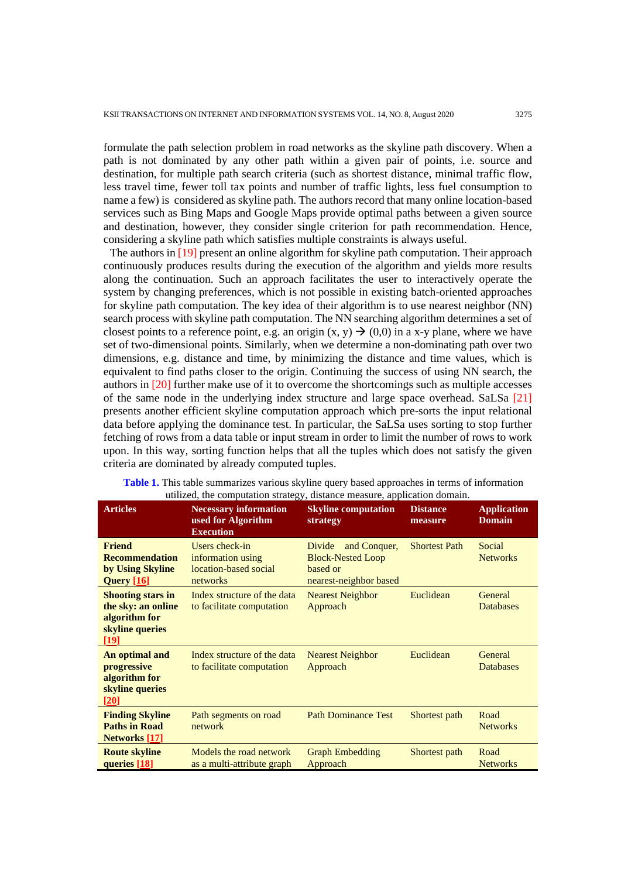formulate the path selection problem in road networks as the skyline path discovery. When a path is not dominated by any other path within a given pair of points, i.e. source and destination, for multiple path search criteria (such as shortest distance, minimal traffic flow, less travel time, fewer toll tax points and number of traffic lights, less fuel consumption to name a few) is considered as skyline path. The authors record that many online location-based services such as Bing Maps and Google Maps provide optimal paths between a given source and destination, however, they consider single criterion for path recommendation. Hence, considering a skyline path which satisfies multiple constraints is always useful.

The authors in [19] present an online algorithm for skyline path computation. Their approach continuously produces results during the execution of the algorithm and yields more results along the continuation. Such an approach facilitates the user to interactively operate the system by changing preferences, which is not possible in existing batch-oriented approaches for skyline path computation. The key idea of their algorithm is to use nearest neighbor (NN) search process with skyline path computation. The NN searching algorithm determines a set of closest points to a reference point, e.g. an origin  $(x, y) \rightarrow (0,0)$  in a x-y plane, where we have set of two-dimensional points. Similarly, when we determine a non-dominating path over two dimensions, e.g. distance and time, by minimizing the distance and time values, which is equivalent to find paths closer to the origin. Continuing the success of using NN search, the authors in [20] further make use of it to overcome the shortcomings such as multiple accesses of the same node in the underlying index structure and large space overhead. SaLSa [21] presents another efficient skyline computation approach which pre-sorts the input relational data before applying the dominance test. In particular, the SaLSa uses sorting to stop further fetching of rows from a data table or input stream in order to limit the number of rows to work upon. In this way, sorting function helps that all the tuples which does not satisfy the given criteria are dominated by already computed tuples.

| <u>Articles</u>                                                                            | <b>Necessary information</b><br>used for Algorithm<br><b>Execution</b>   | <b>Skyline computation</b><br>strategy                                                   | <b>Distance</b><br>measure | <b>Application</b><br><b>Domain</b> |
|--------------------------------------------------------------------------------------------|--------------------------------------------------------------------------|------------------------------------------------------------------------------------------|----------------------------|-------------------------------------|
| <b>Friend</b><br><b>Recommendation</b><br>by Using Skyline<br><b>Query</b> [16]            | Users check-in<br>information using<br>location-based social<br>networks | and Conquer,<br>Divide<br><b>Block-Nested Loop</b><br>based or<br>nearest-neighbor based | <b>Shortest Path</b>       | Social<br><b>Networks</b>           |
| <b>Shooting stars in</b><br>the sky: an online<br>algorithm for<br>skyline queries<br>[19] | Index structure of the data<br>to facilitate computation                 | <b>Nearest Neighbor</b><br>Approach                                                      | Euclidean                  | General<br><b>Databases</b>         |
| An optimal and<br>progressive<br>algorithm for<br>skyline queries<br>[20]                  | Index structure of the data<br>to facilitate computation                 | <b>Nearest Neighbor</b><br>Approach                                                      | Euclidean                  | General<br><b>Databases</b>         |
| <b>Finding Skyline</b><br><b>Paths in Road</b><br><b>Networks</b> [17]                     | Path segments on road<br>network                                         | <b>Path Dominance Test</b>                                                               | Shortest path              | Road<br><b>Networks</b>             |
| <b>Route skyline</b><br>queries [18]                                                       | Models the road network<br>as a multi-attribute graph                    | <b>Graph Embedding</b><br>Approach                                                       | Shortest path              | Road<br><b>Networks</b>             |

**Table 1.** This table summarizes various skyline query based approaches in terms of information utilized, the computation strategy, distance measure, application domain.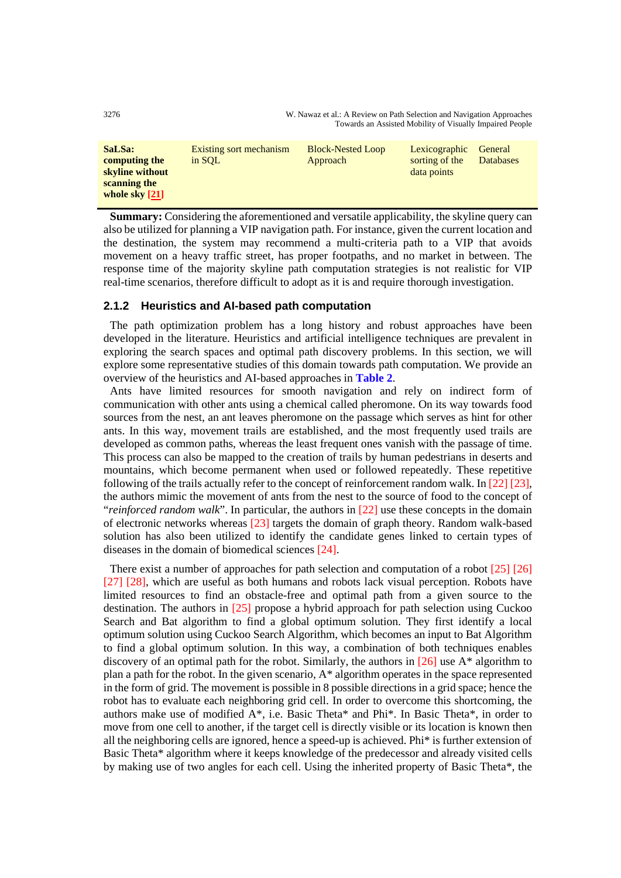3276 W. Nawaz et al.: A Review on Path Selection and Navigation Approaches Towards an Assisted Mobility of Visually Impaired People

| SaLSa:<br>computing the<br>skyline without<br>scanning the<br>whole sky $[21]$ | Existing sort mechanism<br>in SOL | <b>Block-Nested Loop</b><br>Approach | Lexicographic<br>sorting of the<br>data points | General<br><b>Databases</b> |
|--------------------------------------------------------------------------------|-----------------------------------|--------------------------------------|------------------------------------------------|-----------------------------|
|--------------------------------------------------------------------------------|-----------------------------------|--------------------------------------|------------------------------------------------|-----------------------------|

**Summary:** Considering the aforementioned and versatile applicability, the skyline query can also be utilized for planning a VIP navigation path. For instance, given the current location and the destination, the system may recommend a multi-criteria path to a VIP that avoids movement on a heavy traffic street, has proper footpaths, and no market in between. The response time of the majority skyline path computation strategies is not realistic for VIP real-time scenarios, therefore difficult to adopt as it is and require thorough investigation.

#### **2.1.2 Heuristics and AI-based path computation**

The path optimization problem has a long history and robust approaches have been developed in the literature. Heuristics and artificial intelligence techniques are prevalent in exploring the search spaces and optimal path discovery problems. In this section, we will explore some representative studies of this domain towards path computation. We provide an overview of the heuristics and AI-based approaches in **Table 2**.

Ants have limited resources for smooth navigation and rely on indirect form of communication with other ants using a chemical called pheromone. On its way towards food sources from the nest, an ant leaves pheromone on the passage which serves as hint for other ants. In this way, movement trails are established, and the most frequently used trails are developed as common paths, whereas the least frequent ones vanish with the passage of time. This process can also be mapped to the creation of trails by human pedestrians in deserts and mountains, which become permanent when used or followed repeatedly. These repetitive following of the trails actually refer to the concept of reinforcement random walk. In [22] [23], the authors mimic the movement of ants from the nest to the source of food to the concept of "*reinforced random walk*". In particular, the authors in [22] use these concepts in the domain of electronic networks whereas [23] targets the domain of graph theory. Random walk-based solution has also been utilized to identify the candidate genes linked to certain types of diseases in the domain of biomedical sciences [24].

There exist a number of approaches for path selection and computation of a robot [25] [26] [27] [28], which are useful as both humans and robots lack visual perception. Robots have limited resources to find an obstacle-free and optimal path from a given source to the destination. The authors in [25] propose a hybrid approach for path selection using Cuckoo Search and Bat algorithm to find a global optimum solution. They first identify a local optimum solution using Cuckoo Search Algorithm, which becomes an input to Bat Algorithm to find a global optimum solution. In this way, a combination of both techniques enables discovery of an optimal path for the robot. Similarly, the authors in  $[26]$  use A\* algorithm to plan a path for the robot. In the given scenario, A\* algorithm operates in the space represented in the form of grid. The movement is possible in 8 possible directions in a grid space; hence the robot has to evaluate each neighboring grid cell. In order to overcome this shortcoming, the authors make use of modified A\*, i.e. Basic Theta\* and Phi\*. In Basic Theta\*, in order to move from one cell to another, if the target cell is directly visible or its location is known then all the neighboring cells are ignored, hence a speed-up is achieved. Phi\* is further extension of Basic Theta\* algorithm where it keeps knowledge of the predecessor and already visited cells by making use of two angles for each cell. Using the inherited property of Basic Theta\*, the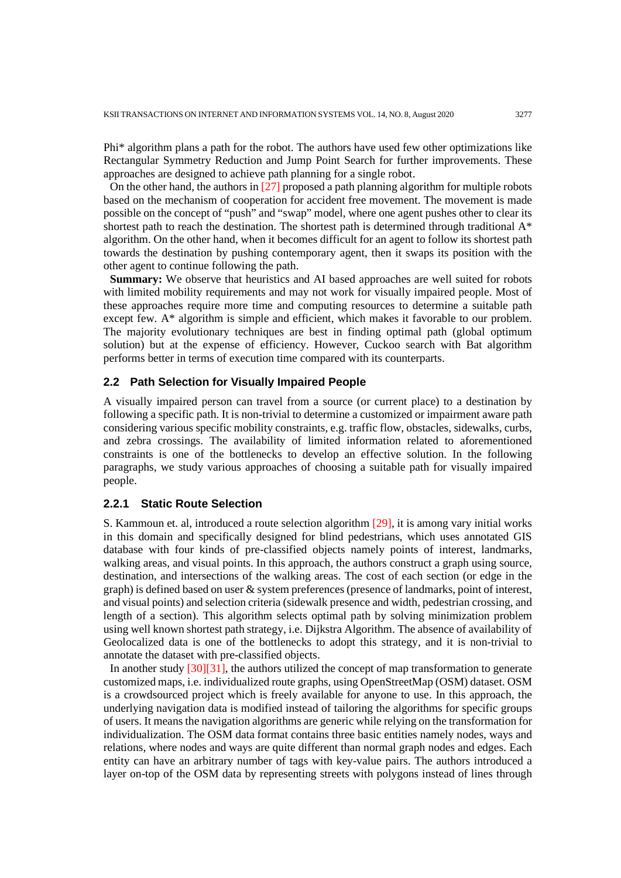Phi\* algorithm plans a path for the robot. The authors have used few other optimizations like Rectangular Symmetry Reduction and Jump Point Search for further improvements. These approaches are designed to achieve path planning for a single robot.

On the other hand, the authors in [27] proposed a path planning algorithm for multiple robots based on the mechanism of cooperation for accident free movement. The movement is made possible on the concept of "push" and "swap" model, where one agent pushes other to clear its shortest path to reach the destination. The shortest path is determined through traditional A\* algorithm. On the other hand, when it becomes difficult for an agent to follow its shortest path towards the destination by pushing contemporary agent, then it swaps its position with the other agent to continue following the path.

**Summary:** We observe that heuristics and AI based approaches are well suited for robots with limited mobility requirements and may not work for visually impaired people. Most of these approaches require more time and computing resources to determine a suitable path except few. A\* algorithm is simple and efficient, which makes it favorable to our problem. The majority evolutionary techniques are best in finding optimal path (global optimum solution) but at the expense of efficiency. However, Cuckoo search with Bat algorithm performs better in terms of execution time compared with its counterparts.

## **2.2 Path Selection for Visually Impaired People**

A visually impaired person can travel from a source (or current place) to a destination by following a specific path. It is non-trivial to determine a customized or impairment aware path considering various specific mobility constraints, e.g. traffic flow, obstacles, sidewalks, curbs, and zebra crossings. The availability of limited information related to aforementioned constraints is one of the bottlenecks to develop an effective solution. In the following paragraphs, we study various approaches of choosing a suitable path for visually impaired people.

#### **2.2.1 Static Route Selection**

S. Kammoun et. al, introduced a route selection algorithm [29], it is among vary initial works in this domain and specifically designed for blind pedestrians, which uses annotated GIS database with four kinds of pre-classified objects namely points of interest, landmarks, walking areas, and visual points. In this approach, the authors construct a graph using source, destination, and intersections of the walking areas. The cost of each section (or edge in the graph) is defined based on user & system preferences (presence of landmarks, point of interest, and visual points) and selection criteria (sidewalk presence and width, pedestrian crossing, and length of a section). This algorithm selects optimal path by solving minimization problem using well known shortest path strategy, i.e. Dijkstra Algorithm. The absence of availability of Geolocalized data is one of the bottlenecks to adopt this strategy, and it is non-trivial to annotate the dataset with pre-classified objects.

In another study [30][31], the authors utilized the concept of map transformation to generate customized maps, i.e. individualized route graphs, using OpenStreetMap (OSM) dataset. OSM is a crowdsourced project which is freely available for anyone to use. In this approach, the underlying navigation data is modified instead of tailoring the algorithms for specific groups of users. It means the navigation algorithms are generic while relying on the transformation for individualization. The OSM data format contains three basic entities namely nodes, ways and relations, where nodes and ways are quite different than normal graph nodes and edges. Each entity can have an arbitrary number of tags with key-value pairs. The authors introduced a layer on-top of the OSM data by representing streets with polygons instead of lines through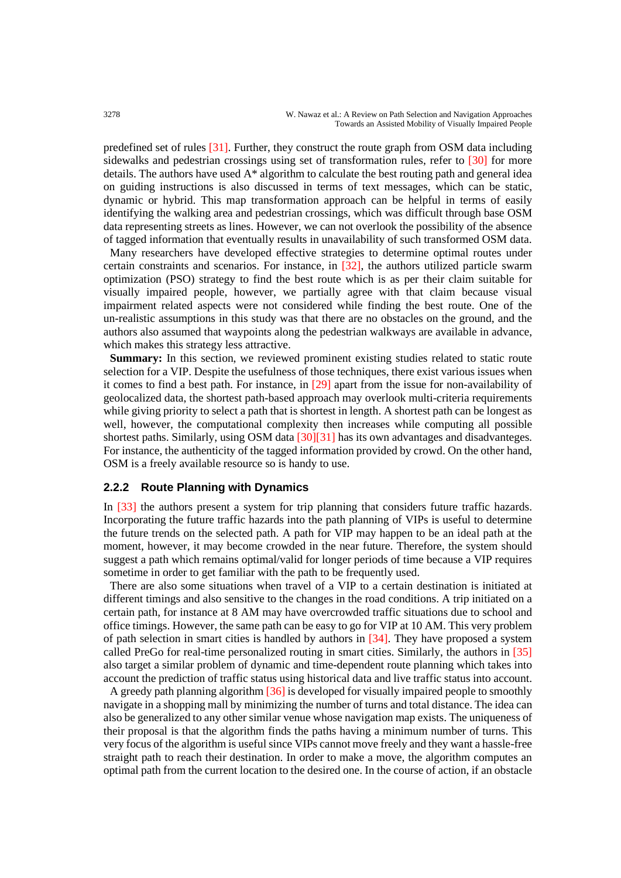predefined set of rules [31]. Further, they construct the route graph from OSM data including sidewalks and pedestrian crossings using set of transformation rules, refer to [30] for more details. The authors have used A\* algorithm to calculate the best routing path and general idea on guiding instructions is also discussed in terms of text messages, which can be static, dynamic or hybrid. This map transformation approach can be helpful in terms of easily identifying the walking area and pedestrian crossings, which was difficult through base OSM data representing streets as lines. However, we can not overlook the possibility of the absence of tagged information that eventually results in unavailability of such transformed OSM data.

Many researchers have developed effective strategies to determine optimal routes under certain constraints and scenarios. For instance, in [32], the authors utilized particle swarm optimization (PSO) strategy to find the best route which is as per their claim suitable for visually impaired people, however, we partially agree with that claim because visual impairment related aspects were not considered while finding the best route. One of the un-realistic assumptions in this study was that there are no obstacles on the ground, and the authors also assumed that waypoints along the pedestrian walkways are available in advance, which makes this strategy less attractive.

**Summary:** In this section, we reviewed prominent existing studies related to static route selection for a VIP. Despite the usefulness of those techniques, there exist various issues when it comes to find a best path. For instance, in [29] apart from the issue for non-availability of geolocalized data, the shortest path-based approach may overlook multi-criteria requirements while giving priority to select a path that is shortest in length. A shortest path can be longest as well, however, the computational complexity then increases while computing all possible shortest paths. Similarly, using OSM data [30][31] has its own advantages and disadvanteges. For instance, the authenticity of the tagged information provided by crowd. On the other hand, OSM is a freely available resource so is handy to use.

## **2.2.2 Route Planning with Dynamics**

In [33] the authors present a system for trip planning that considers future traffic hazards. Incorporating the future traffic hazards into the path planning of VIPs is useful to determine the future trends on the selected path. A path for VIP may happen to be an ideal path at the moment, however, it may become crowded in the near future. Therefore, the system should suggest a path which remains optimal/valid for longer periods of time because a VIP requires sometime in order to get familiar with the path to be frequently used.

There are also some situations when travel of a VIP to a certain destination is initiated at different timings and also sensitive to the changes in the road conditions. A trip initiated on a certain path, for instance at 8 AM may have overcrowded traffic situations due to school and office timings. However, the same path can be easy to go for VIP at 10 AM. This very problem of path selection in smart cities is handled by authors in [34]. They have proposed a system called PreGo for real-time personalized routing in smart cities. Similarly, the authors in [35] also target a similar problem of dynamic and time-dependent route planning which takes into account the prediction of traffic status using historical data and live traffic status into account.

A greedy path planning algorithm [36] is developed for visually impaired people to smoothly navigate in a shopping mall by minimizing the number of turns and total distance. The idea can also be generalized to any other similar venue whose navigation map exists. The uniqueness of their proposal is that the algorithm finds the paths having a minimum number of turns. This very focus of the algorithm is useful since VIPs cannot move freely and they want a hassle-free straight path to reach their destination. In order to make a move, the algorithm computes an optimal path from the current location to the desired one. In the course of action, if an obstacle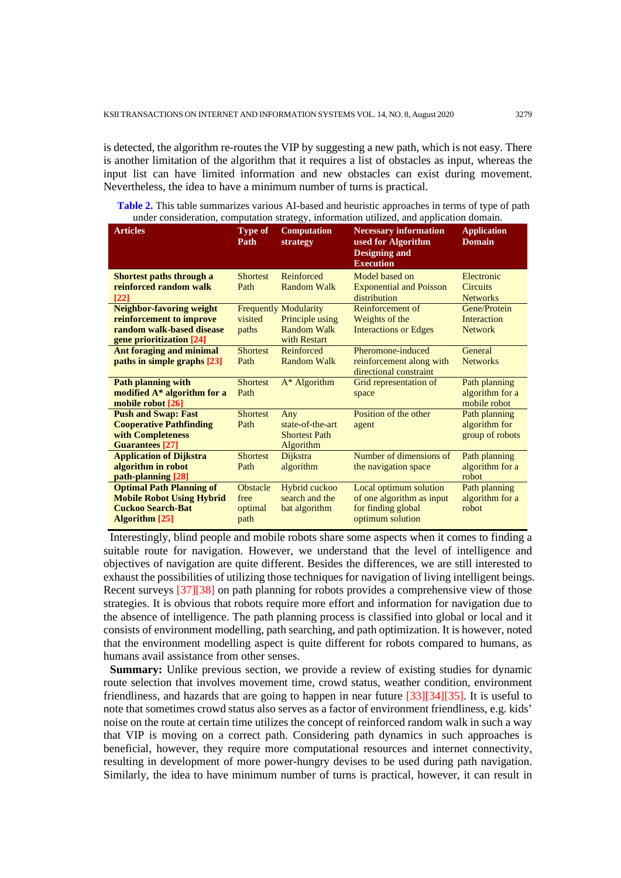is detected, the algorithm re-routes the VIP by suggesting a new path, which is not easy. There is another limitation of the algorithm that it requires a list of obstacles as input, whereas the input list can have limited information and new obstacles can exist during movement. Nevertheless, the idea to have a minimum number of turns is practical.

**Table 2.** This table summarizes various AI-based and heuristic approaches in terms of type of path under consideration, computation strategy, information utilized, and application domain.

| <b>Articles</b>                  | <b>Type of</b><br>Path | <b>Computation</b><br>strategy | <b>Necessary information</b><br>used for Algorithm<br><b>Designing and</b><br><b>Execution</b> | <b>Application</b><br><b>Domain</b> |
|----------------------------------|------------------------|--------------------------------|------------------------------------------------------------------------------------------------|-------------------------------------|
| Shortest paths through a         | <b>Shortest</b>        | Reinforced                     | Model based on                                                                                 | Electronic                          |
| reinforced random walk           | Path                   | Random Walk                    | <b>Exponential and Poisson</b>                                                                 | <b>Circuits</b>                     |
| $\lceil 22 \rceil$               |                        |                                | distribution                                                                                   | <b>Networks</b>                     |
| <b>Neighbor-favoring weight</b>  |                        | <b>Frequently Modularity</b>   | Reinforcement of                                                                               | Gene/Protein                        |
| reinforcement to improve         | visited                | Principle using                | Weights of the                                                                                 | Interaction                         |
| random walk-based disease        | paths                  | <b>Random Walk</b>             | <b>Interactions or Edges</b>                                                                   | <b>Network</b>                      |
| gene prioritization [24]         |                        | with Restart                   |                                                                                                |                                     |
| <b>Ant foraging and minimal</b>  | <b>Shortest</b>        | Reinforced                     | Pheromone-induced                                                                              | General                             |
| paths in simple graphs [23]      | Path                   | <b>Random Walk</b>             | reinforcement along with<br>directional constraint                                             | <b>Networks</b>                     |
| <b>Path planning with</b>        | <b>Shortest</b>        | $A^*$ Algorithm                | Grid representation of                                                                         | Path planning                       |
| modified A* algorithm for a      | Path                   |                                | space                                                                                          | algorithm for a                     |
| mobile robot [26]                |                        |                                |                                                                                                | mobile robot                        |
| <b>Push and Swap: Fast</b>       | <b>Shortest</b>        | Any                            | Position of the other                                                                          | Path planning                       |
| <b>Cooperative Pathfinding</b>   | Path                   | state-of-the-art               | agent                                                                                          | algorithm for                       |
| with Completeness                |                        | <b>Shortest Path</b>           |                                                                                                | group of robots                     |
| <b>Guarantees</b> [27]           |                        | Algorithm                      |                                                                                                |                                     |
| <b>Application of Dijkstra</b>   | <b>Shortest</b>        | Dijkstra                       | Number of dimensions of                                                                        | Path planning                       |
| algorithm in robot               | Path                   | algorithm                      | the navigation space                                                                           | algorithm for a                     |
| path-planning [28]               |                        |                                |                                                                                                | robot                               |
| <b>Optimal Path Planning of</b>  | <b>Obstacle</b>        | Hybrid cuckoo                  | Local optimum solution                                                                         | Path planning                       |
| <b>Mobile Robot Using Hybrid</b> | free                   | search and the                 | of one algorithm as input                                                                      | algorithm for a                     |
| <b>Cuckoo Search-Bat</b>         | optimal                | bat algorithm                  | for finding global                                                                             | robot                               |
| <b>Algorithm</b> [25]            | path                   |                                | optimum solution                                                                               |                                     |

Interestingly, blind people and mobile robots share some aspects when it comes to finding a suitable route for navigation. However, we understand that the level of intelligence and objectives of navigation are quite different. Besides the differences, we are still interested to exhaust the possibilities of utilizing those techniques for navigation of living intelligent beings. Recent surveys [37][38] on path planning for robots provides a comprehensive view of those strategies. It is obvious that robots require more effort and information for navigation due to the absence of intelligence. The path planning process is classified into global or local and it consists of environment modelling, path searching, and path optimization. It is however, noted that the environment modelling aspect is quite different for robots compared to humans, as humans avail assistance from other senses.

**Summary:** Unlike previous section, we provide a review of existing studies for dynamic route selection that involves movement time, crowd status, weather condition, environment friendliness, and hazards that are going to happen in near future [33][34][35]. It is useful to note that sometimes crowd status also serves as a factor of environment friendliness, e.g. kids' noise on the route at certain time utilizes the concept of reinforced random walk in such a way that VIP is moving on a correct path. Considering path dynamics in such approaches is beneficial, however, they require more computational resources and internet connectivity, resulting in development of more power-hungry devises to be used during path navigation. Similarly, the idea to have minimum number of turns is practical, however, it can result in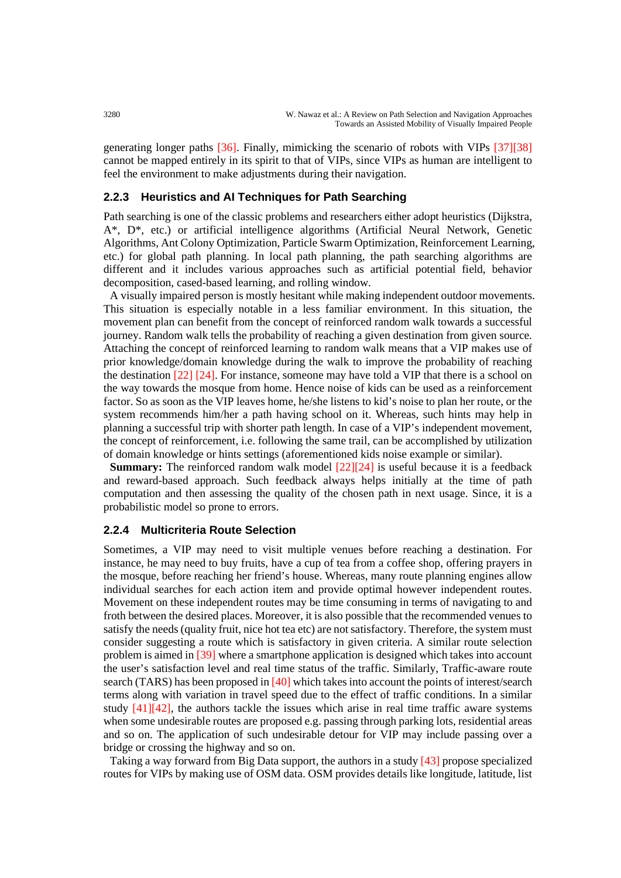generating longer paths [36]. Finally, mimicking the scenario of robots with VIPs [37][38] cannot be mapped entirely in its spirit to that of VIPs, since VIPs as human are intelligent to feel the environment to make adjustments during their navigation.

#### **2.2.3 Heuristics and AI Techniques for Path Searching**

Path searching is one of the classic problems and researchers either adopt heuristics (Dijkstra, A\*, D\*, etc.) or artificial intelligence algorithms (Artificial Neural Network, Genetic Algorithms, Ant Colony Optimization, Particle Swarm Optimization, Reinforcement Learning, etc.) for global path planning. In local path planning, the path searching algorithms are different and it includes various approaches such as artificial potential field, behavior decomposition, cased-based learning, and rolling window.

A visually impaired person is mostly hesitant while making independent outdoor movements. This situation is especially notable in a less familiar environment. In this situation, the movement plan can benefit from the concept of reinforced random walk towards a successful journey. Random walk tells the probability of reaching a given destination from given source. Attaching the concept of reinforced learning to random walk means that a VIP makes use of prior knowledge/domain knowledge during the walk to improve the probability of reaching the destination  $\left[22\right]$   $\left[24\right]$ . For instance, someone may have told a VIP that there is a school on the way towards the mosque from home. Hence noise of kids can be used as a reinforcement factor. So as soon as the VIP leaves home, he/she listens to kid's noise to plan her route, or the system recommends him/her a path having school on it. Whereas, such hints may help in planning a successful trip with shorter path length. In case of a VIP's independent movement, the concept of reinforcement, i.e. following the same trail, can be accomplished by utilization of domain knowledge or hints settings (aforementioned kids noise example or similar).

**Summary:** The reinforced random walk model  $[22][24]$  is useful because it is a feedback and reward-based approach. Such feedback always helps initially at the time of path computation and then assessing the quality of the chosen path in next usage. Since, it is a probabilistic model so prone to errors.

#### **2.2.4 Multicriteria Route Selection**

Sometimes, a VIP may need to visit multiple venues before reaching a destination. For instance, he may need to buy fruits, have a cup of tea from a coffee shop, offering prayers in the mosque, before reaching her friend's house. Whereas, many route planning engines allow individual searches for each action item and provide optimal however independent routes. Movement on these independent routes may be time consuming in terms of navigating to and froth between the desired places. Moreover, it is also possible that the recommended venues to satisfy the needs (quality fruit, nice hot tea etc) are not satisfactory. Therefore, the system must consider suggesting a route which is satisfactory in given criteria. A similar route selection problem is aimed in [39] where a smartphone application is designed which takes into account the user's satisfaction level and real time status of the traffic. Similarly, Traffic-aware route search (TARS) has been proposed in [40] which takes into account the points of interest/search terms along with variation in travel speed due to the effect of traffic conditions. In a similar study  $[41][42]$ , the authors tackle the issues which arise in real time traffic aware systems when some undesirable routes are proposed e.g. passing through parking lots, residential areas and so on. The application of such undesirable detour for VIP may include passing over a bridge or crossing the highway and so on.

Taking a way forward from Big Data support, the authors in a study [43] propose specialized routes for VIPs by making use of OSM data. OSM provides details like longitude, latitude, list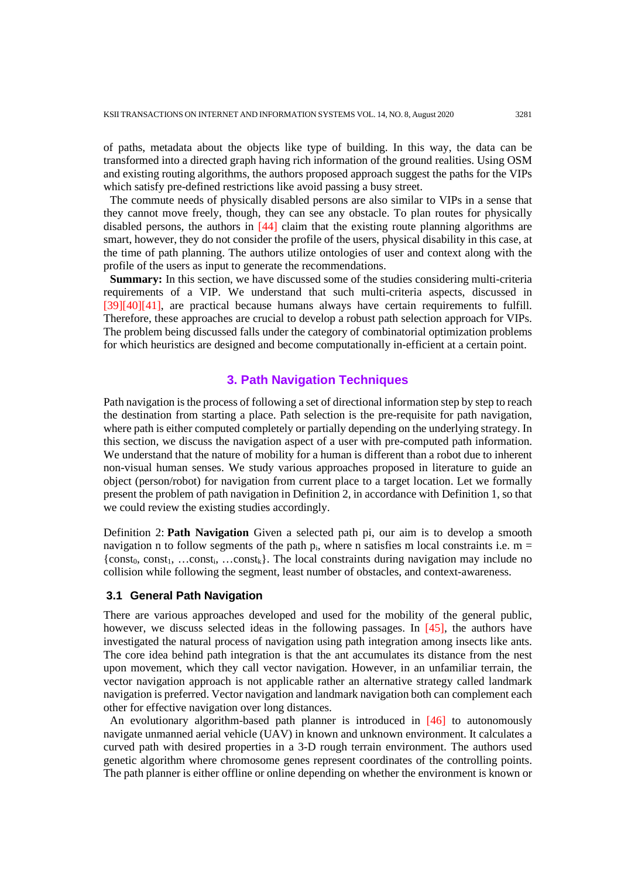of paths, metadata about the objects like type of building. In this way, the data can be transformed into a directed graph having rich information of the ground realities. Using OSM and existing routing algorithms, the authors proposed approach suggest the paths for the VIPs which satisfy pre-defined restrictions like avoid passing a busy street.

The commute needs of physically disabled persons are also similar to VIPs in a sense that they cannot move freely, though, they can see any obstacle. To plan routes for physically disabled persons, the authors in [44] claim that the existing route planning algorithms are smart, however, they do not consider the profile of the users, physical disability in this case, at the time of path planning. The authors utilize ontologies of user and context along with the profile of the users as input to generate the recommendations.

**Summary:** In this section, we have discussed some of the studies considering multi-criteria requirements of a VIP. We understand that such multi-criteria aspects, discussed in [39][40][41], are practical because humans always have certain requirements to fulfill. Therefore, these approaches are crucial to develop a robust path selection approach for VIPs. The problem being discussed falls under the category of combinatorial optimization problems for which heuristics are designed and become computationally in-efficient at a certain point.

#### **3. Path Navigation Techniques**

Path navigation is the process of following a set of directional information step by step to reach the destination from starting a place. Path selection is the pre-requisite for path navigation, where path is either computed completely or partially depending on the underlying strategy. In this section, we discuss the navigation aspect of a user with pre-computed path information. We understand that the nature of mobility for a human is different than a robot due to inherent non-visual human senses. We study various approaches proposed in literature to guide an object (person/robot) for navigation from current place to a target location. Let we formally present the problem of path navigation in Definition 2, in accordance with Definition 1, so that we could review the existing studies accordingly.

Definition 2: **Path Navigation** Given a selected path pi, our aim is to develop a smooth navigation n to follow segments of the path  $p_i$ , where n satisfies m local constraints i.e. m =  ${\text{const}}_0$ , const<sub>1</sub>, …const<sub>i</sub>, …const<sub>k</sub>}. The local constraints during navigation may include no collision while following the segment, least number of obstacles, and context-awareness.

#### **3.1 General Path Navigation**

There are various approaches developed and used for the mobility of the general public, however, we discuss selected ideas in the following passages. In [45], the authors have investigated the natural process of navigation using path integration among insects like ants. The core idea behind path integration is that the ant accumulates its distance from the nest upon movement, which they call vector navigation. However, in an unfamiliar terrain, the vector navigation approach is not applicable rather an alternative strategy called landmark navigation is preferred. Vector navigation and landmark navigation both can complement each other for effective navigation over long distances.

An evolutionary algorithm-based path planner is introduced in [46] to autonomously navigate unmanned aerial vehicle (UAV) in known and unknown environment. It calculates a curved path with desired properties in a 3-D rough terrain environment. The authors used genetic algorithm where chromosome genes represent coordinates of the controlling points. The path planner is either offline or online depending on whether the environment is known or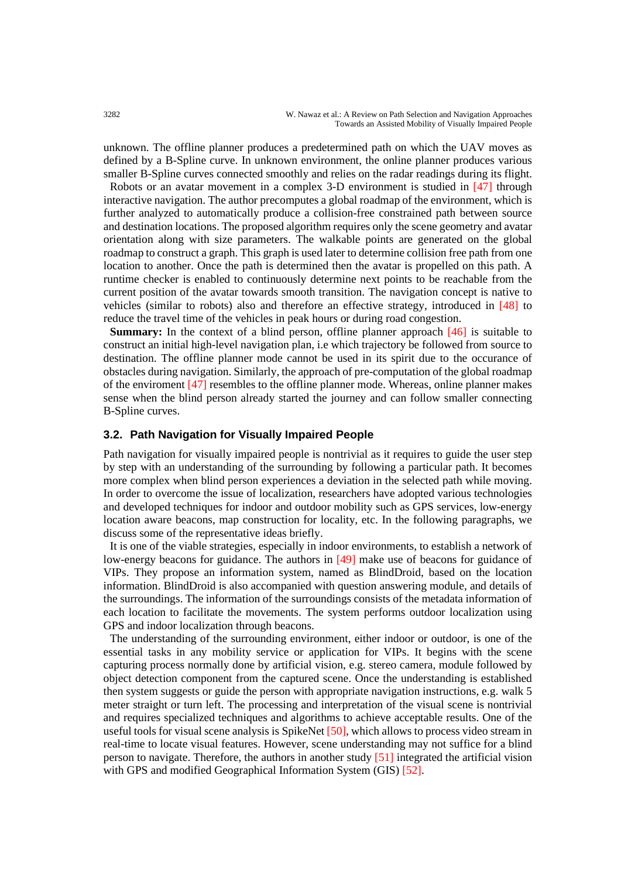unknown. The offline planner produces a predetermined path on which the UAV moves as defined by a B-Spline curve. In unknown environment, the online planner produces various smaller B-Spline curves connected smoothly and relies on the radar readings during its flight.

Robots or an avatar movement in a complex 3-D environment is studied in [47] through interactive navigation. The author precomputes a global roadmap of the environment, which is further analyzed to automatically produce a collision-free constrained path between source and destination locations. The proposed algorithm requires only the scene geometry and avatar orientation along with size parameters. The walkable points are generated on the global roadmap to construct a graph. This graph is used later to determine collision free path from one location to another. Once the path is determined then the avatar is propelled on this path. A runtime checker is enabled to continuously determine next points to be reachable from the current position of the avatar towards smooth transition. The navigation concept is native to vehicles (similar to robots) also and therefore an effective strategy, introduced in [48] to reduce the travel time of the vehicles in peak hours or during road congestion.

**Summary:** In the context of a blind person, offline planner approach [46] is suitable to construct an initial high-level navigation plan, i.e which trajectory be followed from source to destination. The offline planner mode cannot be used in its spirit due to the occurance of obstacles during navigation. Similarly, the approach of pre-computation of the global roadmap of the enviroment [47] resembles to the offline planner mode. Whereas, online planner makes sense when the blind person already started the journey and can follow smaller connecting B-Spline curves.

#### **3.2. Path Navigation for Visually Impaired People**

Path navigation for visually impaired people is nontrivial as it requires to guide the user step by step with an understanding of the surrounding by following a particular path. It becomes more complex when blind person experiences a deviation in the selected path while moving. In order to overcome the issue of localization, researchers have adopted various technologies and developed techniques for indoor and outdoor mobility such as GPS services, low-energy location aware beacons, map construction for locality, etc. In the following paragraphs, we discuss some of the representative ideas briefly.

It is one of the viable strategies, especially in indoor environments, to establish a network of low-energy beacons for guidance. The authors in [49] make use of beacons for guidance of VIPs. They propose an information system, named as BlindDroid, based on the location information. BlindDroid is also accompanied with question answering module, and details of the surroundings. The information of the surroundings consists of the metadata information of each location to facilitate the movements. The system performs outdoor localization using GPS and indoor localization through beacons.

The understanding of the surrounding environment, either indoor or outdoor, is one of the essential tasks in any mobility service or application for VIPs. It begins with the scene capturing process normally done by artificial vision, e.g. stereo camera, module followed by object detection component from the captured scene. Once the understanding is established then system suggests or guide the person with appropriate navigation instructions, e.g. walk 5 meter straight or turn left. The processing and interpretation of the visual scene is nontrivial and requires specialized techniques and algorithms to achieve acceptable results. One of the useful tools for visual scene analysis is SpikeNet [50], which allows to process video stream in real-time to locate visual features. However, scene understanding may not suffice for a blind person to navigate. Therefore, the authors in another study [51] integrated the artificial vision with GPS and modified Geographical Information System (GIS) [52].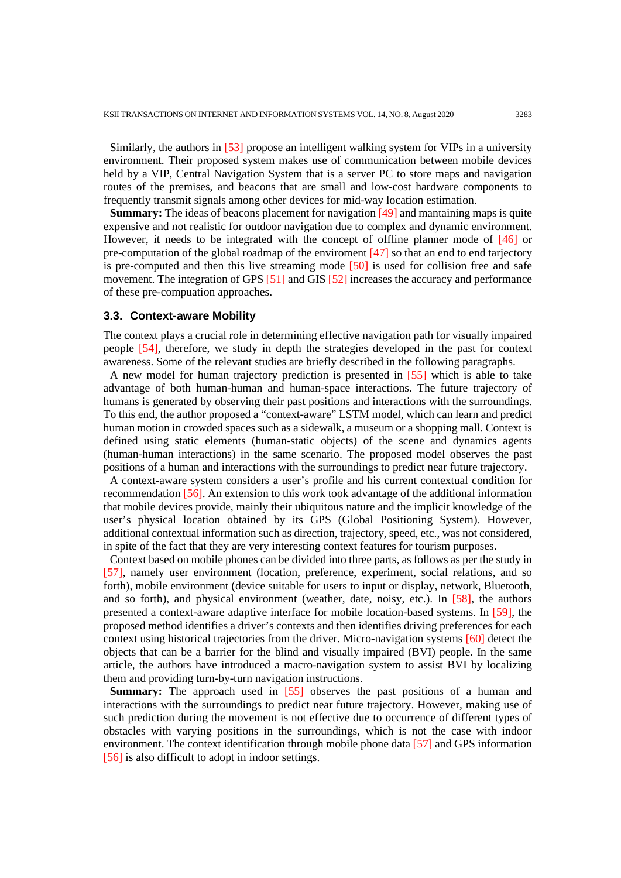Similarly, the authors in [53] propose an intelligent walking system for VIPs in a university environment. Their proposed system makes use of communication between mobile devices held by a VIP, Central Navigation System that is a server PC to store maps and navigation routes of the premises, and beacons that are small and low-cost hardware components to frequently transmit signals among other devices for mid-way location estimation.

**Summary:** The ideas of beacons placement for navigation [49] and mantaining maps is quite expensive and not realistic for outdoor navigation due to complex and dynamic environment. However, it needs to be integrated with the concept of offline planner mode of [46] or pre-computation of the global roadmap of the enviroment [47] so that an end to end tarjectory is pre-computed and then this live streaming mode [50] is used for collision free and safe movement. The integration of GPS [51] and GIS [52] increases the accuracy and performance of these pre-compuation approaches.

#### **3.3. Context-aware Mobility**

The context plays a crucial role in determining effective navigation path for visually impaired people [54], therefore, we study in depth the strategies developed in the past for context awareness. Some of the relevant studies are briefly described in the following paragraphs.

A new model for human trajectory prediction is presented in [55] which is able to take advantage of both human-human and human-space interactions. The future trajectory of humans is generated by observing their past positions and interactions with the surroundings. To this end, the author proposed a "context-aware" LSTM model, which can learn and predict human motion in crowded spaces such as a sidewalk, a museum or a shopping mall. Context is defined using static elements (human-static objects) of the scene and dynamics agents (human-human interactions) in the same scenario. The proposed model observes the past positions of a human and interactions with the surroundings to predict near future trajectory.

A context-aware system considers a user's profile and his current contextual condition for recommendation [56]. An extension to this work took advantage of the additional information that mobile devices provide, mainly their ubiquitous nature and the implicit knowledge of the user's physical location obtained by its GPS (Global Positioning System). However, additional contextual information such as direction, trajectory, speed, etc., was not considered, in spite of the fact that they are very interesting context features for tourism purposes.

Context based on mobile phones can be divided into three parts, as follows as per the study in [57], namely user environment (location, preference, experiment, social relations, and so forth), mobile environment (device suitable for users to input or display, network, Bluetooth, and so forth), and physical environment (weather, date, noisy, etc.). In [58], the authors presented a context-aware adaptive interface for mobile location-based systems. In [59], the proposed method identifies a driver's contexts and then identifies driving preferences for each context using historical trajectories from the driver. Micro-navigation systems [60] detect the objects that can be a barrier for the blind and visually impaired (BVI) people. In the same article, the authors have introduced a macro-navigation system to assist BVI by localizing them and providing turn-by-turn navigation instructions.

**Summary:** The approach used in [55] observes the past positions of a human and interactions with the surroundings to predict near future trajectory. However, making use of such prediction during the movement is not effective due to occurrence of different types of obstacles with varying positions in the surroundings, which is not the case with indoor environment. The context identification through mobile phone data [57] and GPS information [56] is also difficult to adopt in indoor settings.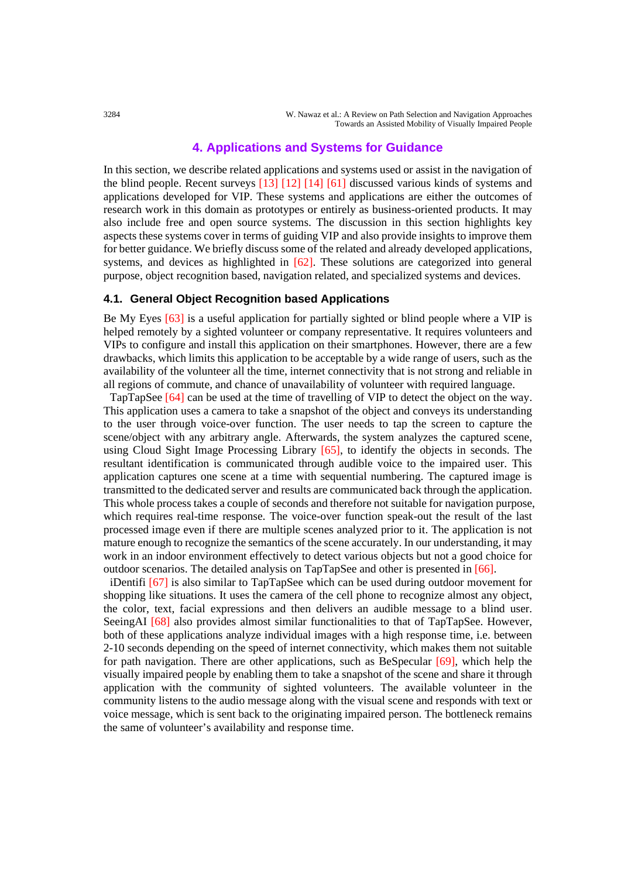# **4. Applications and Systems for Guidance**

In this section, we describe related applications and systems used or assist in the navigation of the blind people. Recent surveys [13] [12] [14] [61] discussed various kinds of systems and applications developed for VIP. These systems and applications are either the outcomes of research work in this domain as prototypes or entirely as business-oriented products. It may also include free and open source systems. The discussion in this section highlights key aspects these systems cover in terms of guiding VIP and also provide insights to improve them for better guidance. We briefly discuss some of the related and already developed applications, systems, and devices as highlighted in [62]. These solutions are categorized into general purpose, object recognition based, navigation related, and specialized systems and devices.

#### **4.1. General Object Recognition based Applications**

Be My Eyes [63] is a useful application for partially sighted or blind people where a VIP is helped remotely by a sighted volunteer or company representative. It requires volunteers and VIPs to configure and install this application on their smartphones. However, there are a few drawbacks, which limits this application to be acceptable by a wide range of users, such as the availability of the volunteer all the time, internet connectivity that is not strong and reliable in all regions of commute, and chance of unavailability of volunteer with required language.

TapTapSee [64] can be used at the time of travelling of VIP to detect the object on the way. This application uses a camera to take a snapshot of the object and conveys its understanding to the user through voice-over function. The user needs to tap the screen to capture the scene/object with any arbitrary angle. Afterwards, the system analyzes the captured scene, using Cloud Sight Image Processing Library [65], to identify the objects in seconds. The resultant identification is communicated through audible voice to the impaired user. This application captures one scene at a time with sequential numbering. The captured image is transmitted to the dedicated server and results are communicated back through the application. This whole process takes a couple of seconds and therefore not suitable for navigation purpose, which requires real-time response. The voice-over function speak-out the result of the last processed image even if there are multiple scenes analyzed prior to it. The application is not mature enough to recognize the semantics of the scene accurately. In our understanding, it may work in an indoor environment effectively to detect various objects but not a good choice for outdoor scenarios. The detailed analysis on TapTapSee and other is presented in [66].

iDentifi [67] is also similar to TapTapSee which can be used during outdoor movement for shopping like situations. It uses the camera of the cell phone to recognize almost any object, the color, text, facial expressions and then delivers an audible message to a blind user. SeeingAI [68] also provides almost similar functionalities to that of TapTapSee. However, both of these applications analyze individual images with a high response time, i.e. between 2-10 seconds depending on the speed of internet connectivity, which makes them not suitable for path navigation. There are other applications, such as BeSpecular [69], which help the visually impaired people by enabling them to take a snapshot of the scene and share it through application with the community of sighted volunteers. The available volunteer in the community listens to the audio message along with the visual scene and responds with text or voice message, which is sent back to the originating impaired person. The bottleneck remains the same of volunteer's availability and response time.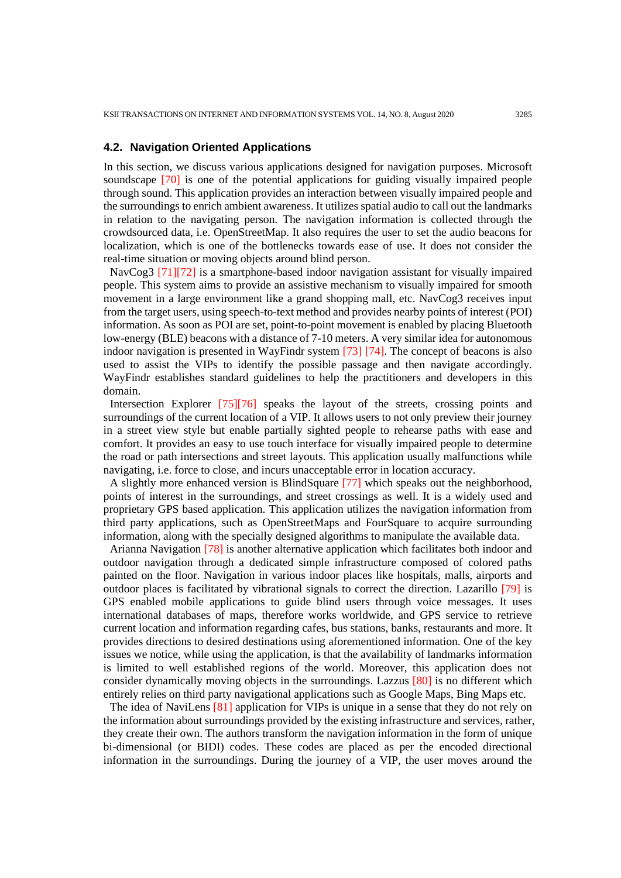#### **4.2. Navigation Oriented Applications**

In this section, we discuss various applications designed for navigation purposes. Microsoft soundscape [70] is one of the potential applications for guiding visually impaired people through sound. This application provides an interaction between visually impaired people and the surroundings to enrich ambient awareness. It utilizes spatial audio to call out the landmarks in relation to the navigating person. The navigation information is collected through the crowdsourced data, i.e. OpenStreetMap. It also requires the user to set the audio beacons for localization, which is one of the bottlenecks towards ease of use. It does not consider the real-time situation or moving objects around blind person.

NavCog3 [71][72] is a smartphone-based indoor navigation assistant for visually impaired people. This system aims to provide an assistive mechanism to visually impaired for smooth movement in a large environment like a grand shopping mall, etc. NavCog3 receives input from the target users, using speech-to-text method and provides nearby points of interest (POI) information. As soon as POI are set, point-to-point movement is enabled by placing Bluetooth low-energy (BLE) beacons with a distance of 7-10 meters. A very similar idea for autonomous indoor navigation is presented in WayFindr system [73] [74]. The concept of beacons is also used to assist the VIPs to identify the possible passage and then navigate accordingly. WayFindr establishes standard guidelines to help the practitioners and developers in this domain.

Intersection Explorer [75][76] speaks the layout of the streets, crossing points and surroundings of the current location of a VIP. It allows users to not only preview their journey in a street view style but enable partially sighted people to rehearse paths with ease and comfort. It provides an easy to use touch interface for visually impaired people to determine the road or path intersections and street layouts. This application usually malfunctions while navigating, i.e. force to close, and incurs unacceptable error in location accuracy.

A slightly more enhanced version is BlindSquare [77] which speaks out the neighborhood, points of interest in the surroundings, and street crossings as well. It is a widely used and proprietary GPS based application. This application utilizes the navigation information from third party applications, such as OpenStreetMaps and FourSquare to acquire surrounding information, along with the specially designed algorithms to manipulate the available data.

Arianna Navigation [78] is another alternative application which facilitates both indoor and outdoor navigation through a dedicated simple infrastructure composed of colored paths painted on the floor. Navigation in various indoor places like hospitals, malls, airports and outdoor places is facilitated by vibrational signals to correct the direction. Lazarillo [79] is GPS enabled mobile applications to guide blind users through voice messages. It uses international databases of maps, therefore works worldwide, and GPS service to retrieve current location and information regarding cafes, bus stations, banks, restaurants and more. It provides directions to desired destinations using aforementioned information. One of the key issues we notice, while using the application, is that the availability of landmarks information is limited to well established regions of the world. Moreover, this application does not consider dynamically moving objects in the surroundings. Lazzus [80] is no different which entirely relies on third party navigational applications such as Google Maps, Bing Maps etc.

The idea of NaviLens [81] application for VIPs is unique in a sense that they do not rely on the information about surroundings provided by the existing infrastructure and services, rather, they create their own. The authors transform the navigation information in the form of unique bi-dimensional (or BIDI) codes. These codes are placed as per the encoded directional information in the surroundings. During the journey of a VIP, the user moves around the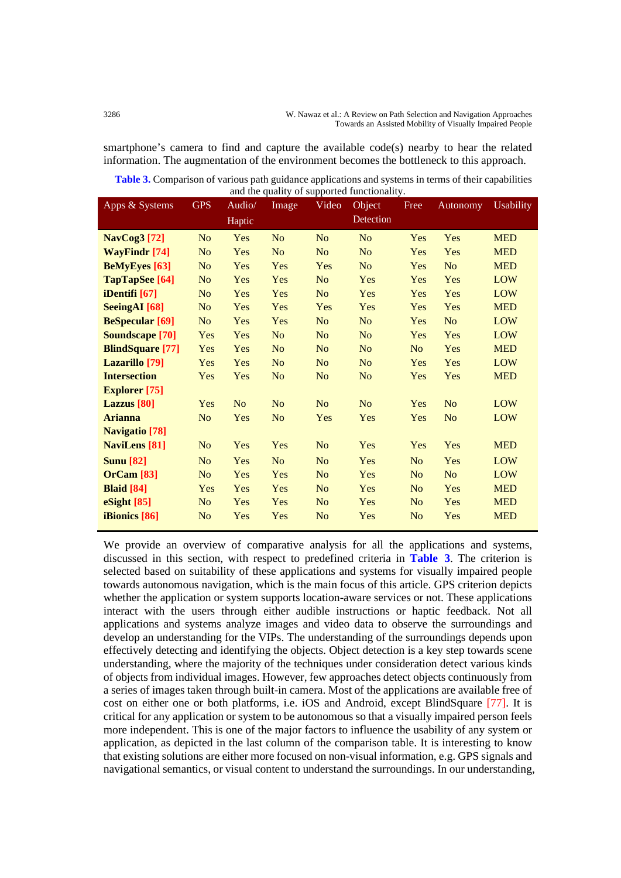smartphone's camera to find and capture the available code(s) nearby to hear the related information. The augmentation of the environment becomes the bottleneck to this approach.

**Table 3.** Comparison of various path guidance applications and systems in terms of their capabilities and the quality of supported functionality.

| Apps & Systems          | <b>GPS</b>     | Audio/         | Image          | Video          | Object         | Free           | Autonomy       | <b>Usability</b> |
|-------------------------|----------------|----------------|----------------|----------------|----------------|----------------|----------------|------------------|
|                         |                | Haptic         |                |                | Detection      |                |                |                  |
| <b>NavCog3</b> [72]     | N <sub>o</sub> | Yes            | N <sub>o</sub> | N <sub>o</sub> | N <sub>o</sub> | Yes            | Yes            | <b>MED</b>       |
| <b>WayFindr</b> [74]    | N <sub>o</sub> | Yes            | N <sub>o</sub> | N <sub>o</sub> | N <sub>o</sub> | Yes            | Yes            | <b>MED</b>       |
| <b>BeMyEyes</b> [63]    | N <sub>o</sub> | Yes            | Yes            | Yes            | N <sub>o</sub> | Yes            | N <sub>o</sub> | <b>MED</b>       |
| TapTapSee [64]          | N <sub>o</sub> | Yes            | Yes            | N <sub>o</sub> | Yes            | Yes            | Yes            | <b>LOW</b>       |
| iDentifi [67]           | N <sub>o</sub> | Yes            | Yes            | N <sub>o</sub> | Yes            | Yes            | Yes            | <b>LOW</b>       |
| <b>SeeingAI</b> [68]    | N <sub>o</sub> | Yes            | Yes            | Yes            | Yes            | Yes            | Yes            | <b>MED</b>       |
| <b>BeSpecular</b> [69]  | N <sub>o</sub> | Yes            | Yes            | N <sub>o</sub> | N <sub>o</sub> | Yes            | N <sub>o</sub> | <b>LOW</b>       |
| <b>Soundscape</b> [70]  | Yes            | Yes            | N <sub>o</sub> | N <sub>o</sub> | N <sub>o</sub> | Yes            | Yes            | <b>LOW</b>       |
| <b>BlindSquare</b> [77] | Yes            | Yes            | N <sub>o</sub> | N <sub>o</sub> | N <sub>o</sub> | N <sub>o</sub> | Yes            | <b>MED</b>       |
| Lazarillo [79]          | Yes            | Yes            | N <sub>o</sub> | N <sub>o</sub> | N <sub>o</sub> | Yes            | Yes            | <b>LOW</b>       |
| <b>Intersection</b>     | Yes            | Yes            | No             | N <sub>o</sub> | N <sub>o</sub> | Yes            | Yes            | <b>MED</b>       |
| <b>Explorer</b> [75]    |                |                |                |                |                |                |                |                  |
| Lazzus [80]             | Yes            | N <sub>o</sub> | No             | N <sub>o</sub> | N <sub>o</sub> | Yes            | N <sub>o</sub> | <b>LOW</b>       |
| <b>Arianna</b>          | N <sub>o</sub> | Yes            | N <sub>o</sub> | Yes            | Yes            | Yes            | N <sub>o</sub> | <b>LOW</b>       |
| <b>Navigatio</b> [78]   |                |                |                |                |                |                |                |                  |
| <b>NaviLens</b> [81]    | N <sub>o</sub> | Yes            | Yes            | N <sub>o</sub> | Yes            | Yes            | Yes            | <b>MED</b>       |
| <b>Sunu</b> [82]        | N <sub>o</sub> | Yes            | N <sub>o</sub> | N <sub>o</sub> | Yes            | N <sub>o</sub> | Yes            | <b>LOW</b>       |
| <b>OrCam</b> [83]       | N <sub>o</sub> | Yes            | Yes            | N <sub>o</sub> | Yes            | N <sub>o</sub> | N <sub>o</sub> | <b>LOW</b>       |
| <b>Blaid</b> [84]       | Yes            | Yes            | Yes            | N <sub>o</sub> | Yes            | N <sub>o</sub> | Yes            | <b>MED</b>       |
| eSight [85]             | N <sub>o</sub> | Yes            | Yes            | N <sub>o</sub> | Yes            | N <sub>o</sub> | Yes            | <b>MED</b>       |
| iBionics [86]           | N <sub>o</sub> | Yes            | Yes            | N <sub>o</sub> | Yes            | N <sub>o</sub> | Yes            | <b>MED</b>       |

We provide an overview of comparative analysis for all the applications and systems, discussed in this section, with respect to predefined criteria in **Table 3**. The criterion is selected based on suitability of these applications and systems for visually impaired people towards autonomous navigation, which is the main focus of this article. GPS criterion depicts whether the application or system supports location-aware services or not. These applications interact with the users through either audible instructions or haptic feedback. Not all applications and systems analyze images and video data to observe the surroundings and develop an understanding for the VIPs. The understanding of the surroundings depends upon effectively detecting and identifying the objects. Object detection is a key step towards scene understanding, where the majority of the techniques under consideration detect various kinds of objects from individual images. However, few approaches detect objects continuously from a series of images taken through built-in camera. Most of the applications are available free of cost on either one or both platforms, i.e. iOS and Android, except BlindSquare [77]. It is critical for any application or system to be autonomous so that a visually impaired person feels more independent. This is one of the major factors to influence the usability of any system or application, as depicted in the last column of the comparison table. It is interesting to know that existing solutions are either more focused on non-visual information, e.g. GPS signals and navigational semantics, or visual content to understand the surroundings. In our understanding,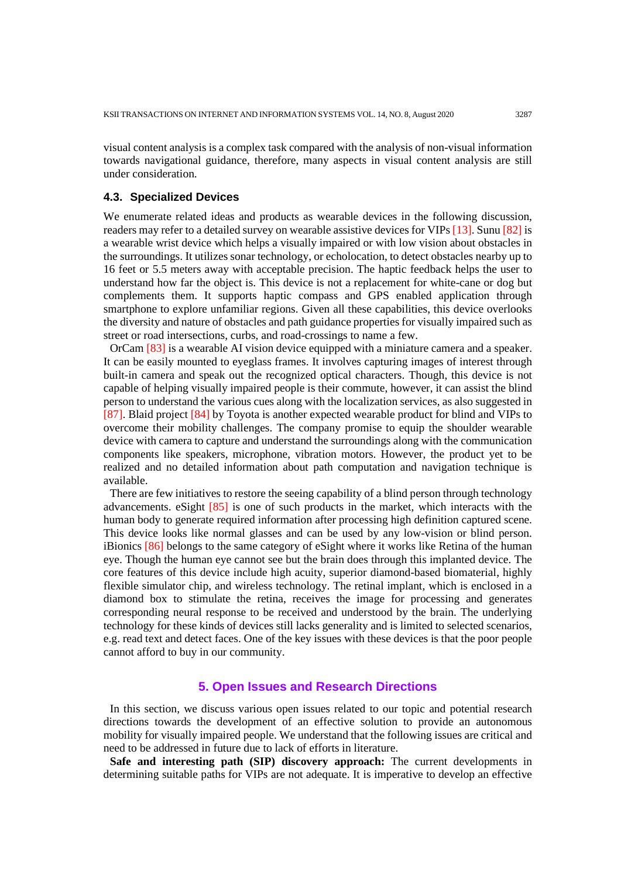visual content analysis is a complex task compared with the analysis of non-visual information towards navigational guidance, therefore, many aspects in visual content analysis are still under consideration.

#### **4.3. Specialized Devices**

We enumerate related ideas and products as wearable devices in the following discussion, readers may refer to a detailed survey on wearable assistive devices for VIPs [13]. Sunu [82] is a wearable wrist device which helps a visually impaired or with low vision about obstacles in the surroundings. It utilizes sonar technology, or echolocation, to detect obstacles nearby up to 16 feet or 5.5 meters away with acceptable precision. The haptic feedback helps the user to understand how far the object is. This device is not a replacement for white-cane or dog but complements them. It supports haptic compass and GPS enabled application through smartphone to explore unfamiliar regions. Given all these capabilities, this device overlooks the diversity and nature of obstacles and path guidance properties for visually impaired such as street or road intersections, curbs, and road-crossings to name a few.

OrCam [83] is a wearable AI vision device equipped with a miniature camera and a speaker. It can be easily mounted to eyeglass frames. It involves capturing images of interest through built-in camera and speak out the recognized optical characters. Though, this device is not capable of helping visually impaired people is their commute, however, it can assist the blind person to understand the various cues along with the localization services, as also suggested in [87]. Blaid project [84] by Toyota is another expected wearable product for blind and VIPs to overcome their mobility challenges. The company promise to equip the shoulder wearable device with camera to capture and understand the surroundings along with the communication components like speakers, microphone, vibration motors. However, the product yet to be realized and no detailed information about path computation and navigation technique is available.

There are few initiatives to restore the seeing capability of a blind person through technology advancements. eSight [85] is one of such products in the market, which interacts with the human body to generate required information after processing high definition captured scene. This device looks like normal glasses and can be used by any low-vision or blind person. iBionics [86] belongs to the same category of eSight where it works like Retina of the human eye. Though the human eye cannot see but the brain does through this implanted device. The core features of this device include high acuity, superior diamond-based biomaterial, highly flexible simulator chip, and wireless technology. The retinal implant, which is enclosed in a diamond box to stimulate the retina, receives the image for processing and generates corresponding neural response to be received and understood by the brain. The underlying technology for these kinds of devices still lacks generality and is limited to selected scenarios, e.g. read text and detect faces. One of the key issues with these devices is that the poor people cannot afford to buy in our community.

# **5. Open Issues and Research Directions**

In this section, we discuss various open issues related to our topic and potential research directions towards the development of an effective solution to provide an autonomous mobility for visually impaired people. We understand that the following issues are critical and need to be addressed in future due to lack of efforts in literature.

**Safe and interesting path (SIP) discovery approach:** The current developments in determining suitable paths for VIPs are not adequate. It is imperative to develop an effective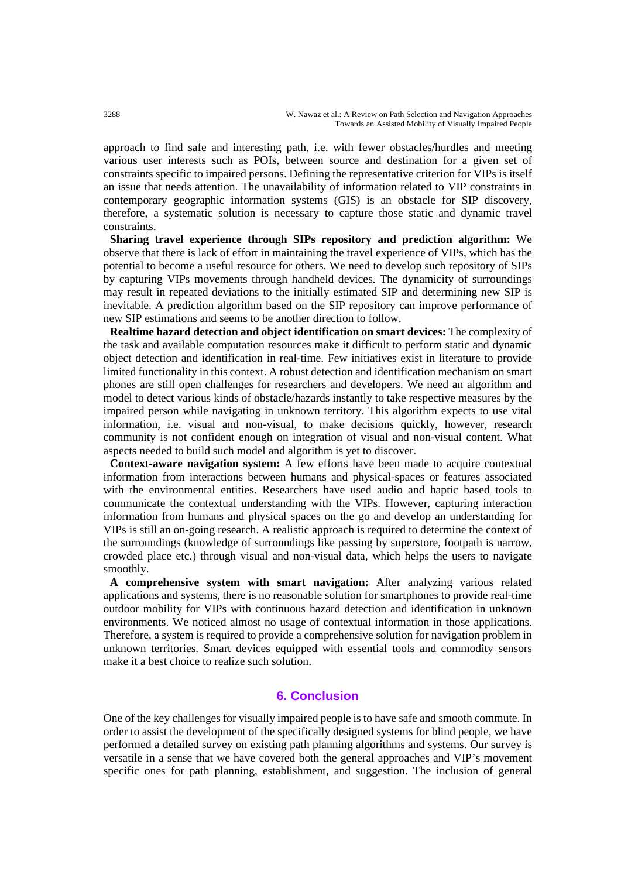approach to find safe and interesting path, i.e. with fewer obstacles/hurdles and meeting various user interests such as POIs, between source and destination for a given set of constraints specific to impaired persons. Defining the representative criterion for VIPs is itself an issue that needs attention. The unavailability of information related to VIP constraints in contemporary geographic information systems (GIS) is an obstacle for SIP discovery, therefore, a systematic solution is necessary to capture those static and dynamic travel constraints.

**Sharing travel experience through SIPs repository and prediction algorithm:** We observe that there is lack of effort in maintaining the travel experience of VIPs, which has the potential to become a useful resource for others. We need to develop such repository of SIPs by capturing VIPs movements through handheld devices. The dynamicity of surroundings may result in repeated deviations to the initially estimated SIP and determining new SIP is inevitable. A prediction algorithm based on the SIP repository can improve performance of new SIP estimations and seems to be another direction to follow.

**Realtime hazard detection and object identification on smart devices:** The complexity of the task and available computation resources make it difficult to perform static and dynamic object detection and identification in real-time. Few initiatives exist in literature to provide limited functionality in this context. A robust detection and identification mechanism on smart phones are still open challenges for researchers and developers. We need an algorithm and model to detect various kinds of obstacle/hazards instantly to take respective measures by the impaired person while navigating in unknown territory. This algorithm expects to use vital information, i.e. visual and non-visual, to make decisions quickly, however, research community is not confident enough on integration of visual and non-visual content. What aspects needed to build such model and algorithm is yet to discover.

**Context-aware navigation system:** A few efforts have been made to acquire contextual information from interactions between humans and physical-spaces or features associated with the environmental entities. Researchers have used audio and haptic based tools to communicate the contextual understanding with the VIPs. However, capturing interaction information from humans and physical spaces on the go and develop an understanding for VIPs is still an on-going research. A realistic approach is required to determine the context of the surroundings (knowledge of surroundings like passing by superstore, footpath is narrow, crowded place etc.) through visual and non-visual data, which helps the users to navigate smoothly.

**A comprehensive system with smart navigation:** After analyzing various related applications and systems, there is no reasonable solution for smartphones to provide real-time outdoor mobility for VIPs with continuous hazard detection and identification in unknown environments. We noticed almost no usage of contextual information in those applications. Therefore, a system is required to provide a comprehensive solution for navigation problem in unknown territories. Smart devices equipped with essential tools and commodity sensors make it a best choice to realize such solution.

## **6. Conclusion**

One of the key challenges for visually impaired people is to have safe and smooth commute. In order to assist the development of the specifically designed systems for blind people, we have performed a detailed survey on existing path planning algorithms and systems. Our survey is versatile in a sense that we have covered both the general approaches and VIP's movement specific ones for path planning, establishment, and suggestion. The inclusion of general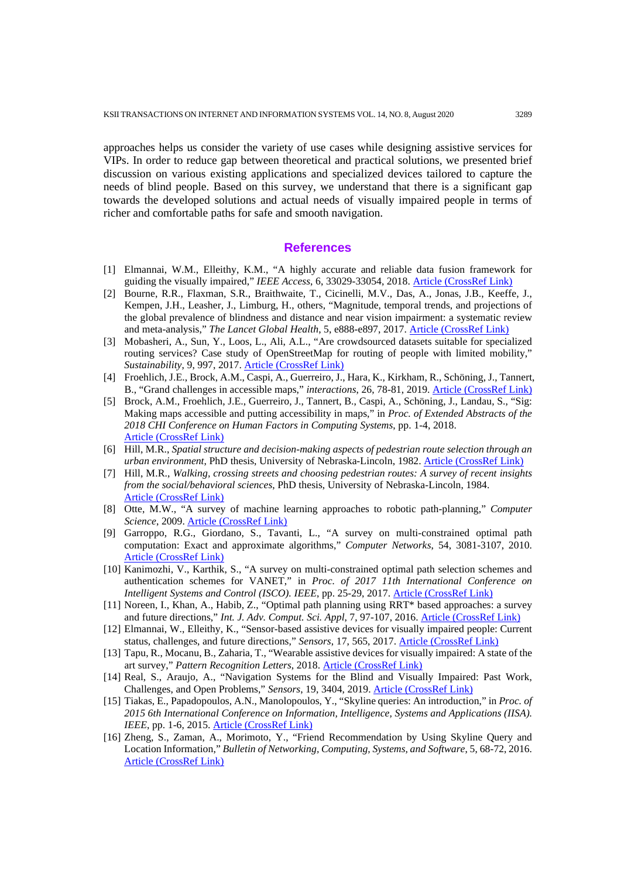approaches helps us consider the variety of use cases while designing assistive services for VIPs. In order to reduce gap between theoretical and practical solutions, we presented brief discussion on various existing applications and specialized devices tailored to capture the needs of blind people. Based on this survey, we understand that there is a significant gap towards the developed solutions and actual needs of visually impaired people in terms of richer and comfortable paths for safe and smooth navigation.

#### **References**

- [1] Elmannai, W.M., Elleithy, K.M., "A highly accurate and reliable data fusion framework for guiding the visually impaired," *IEEE Access*, 6, 33029-33054, 2018. [Article \(CrossRef Link\)](https://doi.org/10.1109/ACCESS.2018.2817164)
- [2] Bourne, R.R., Flaxman, S.R., Braithwaite, T., Cicinelli, M.V., Das, A., Jonas, J.B., Keeffe, J., Kempen, J.H., Leasher, J., Limburg, H., others, "Magnitude, temporal trends, and projections of the global prevalence of blindness and distance and near vision impairment: a systematic review and meta-analysis," *The Lancet Global Health*, 5, e888-e897, 2017[. Article \(CrossRef Link\)](http://dx.doi.org/doi:10.1016/S2214-109X(17)30293-0)
- [3] Mobasheri, A., Sun, Y., Loos, L., Ali, A.L., "Are crowdsourced datasets suitable for specialized routing services? Case study of OpenStreetMap for routing of people with limited mobility," *Sustainability*, 9, 997, 2017. [Article \(CrossRef Link\)](https://doi.org/10.3390/su9060997)
- [4] Froehlich, J.E., Brock, A.M., Caspi, A., Guerreiro, J., Hara, K., Kirkham, R., Schöning, J., Tannert, B., "Grand challenges in accessible maps," *interactions*, 26, 78-81, 2019. [Article \(CrossRef Link\)](https://doi.org/10.1145/3301657)
- [5] Brock, A.M., Froehlich, J.E., Guerreiro, J., Tannert, B., Caspi, A., Schöning, J., Landau, S., "Sig: Making maps accessible and putting accessibility in maps," in *Proc. of Extended Abstracts of the 2018 CHI Conference on Human Factors in Computing Systems*, pp. 1-4, 2018. [Article \(CrossRef Link\)](http://dx.doi.org/doi:10.1145/3170427.3185373)
- [6] Hill, M.R., *Spatial structure and decision-making aspects of pedestrian route selection through an urban environment*, PhD thesis, University of Nebraska-Lincoln, 1982. [Article \(CrossRef Link\)](https://digitalcommons.unl.edu/geographythesis/29/)
- [7] Hill, M.R., *Walking, crossing streets and choosing pedestrian routes: A survey of recent insights from the social/behavioral sciences*, PhD thesis, University of Nebraska-Lincoln, 1984. [Article \(CrossRef Link\)](https://digitalcommons.unl.edu/sociologyfacpub/462/)
- [8] Otte, M.W., "A survey of machine learning approaches to robotic path-planning," *Computer Science*, 2009. [Article \(CrossRef Link\)](https://www.semanticscholar.org/paper/A-Survey-of-Machine-Learning-Approaches-to-Robotic-Otte/a371466a61c8302ad62a7c30bfdbe9fb404ff9af)
- [9] Garroppo, R.G., Giordano, S., Tavanti, L., "A survey on multi-constrained optimal path computation: Exact and approximate algorithms," *Computer Networks*, 54, 3081-3107, 2010. [Article \(CrossRef Link\)](https://doi.org/10.1016/j.comnet.2010.05.017)
- [10] Kanimozhi, V., Karthik, S., "A survey on multi-constrained optimal path selection schemes and authentication schemes for VANET," in *Proc. of 2017 11th International Conference on Intelligent Systems and Control (ISCO). IEEE*, pp. 25-29, 2017. [Article \(CrossRef Link\)](https://doi.org/10.1109/ISCO.2017.7855995)
- [11] Noreen, I., Khan, A., Habib, Z., "Optimal path planning using RRT\* based approaches: a survey and future directions," *Int. J. Adv. Comput. Sci. Appl*, 7, 97-107, 2016. [Article \(CrossRef Link\)](https://doi.org/10.14569/IJACSA.2016.071114)
- [12] Elmannai, W., Elleithy, K., "Sensor-based assistive devices for visually impaired people: Current status, challenges, and future directions," *Sensors*, 17, 565, 2017. [Article \(CrossRef Link\)](https://doi.org/10.3390/s17030565)
- [13] Tapu, R., Mocanu, B., Zaharia, T., "Wearable assistive devices for visually impaired: A state of the art survey," *Pattern Recognition Letters*, 2018. [Article \(CrossRef Link\)](https://doi.org/10.1016/j.patrec.2018.10.031)
- [14] Real, S., Araujo, A., "Navigation Systems for the Blind and Visually Impaired: Past Work, Challenges, and Open Problems," *Sensors*, 19, 3404, 2019. [Article \(CrossRef Link\)](https://doi.org/10.3390/s19153404)
- [15] Tiakas, E., Papadopoulos, A.N., Manolopoulos, Y., "Skyline queries: An introduction," in *Proc. of 2015 6th International Conference on Information, Intelligence, Systems and Applications (IISA). IEEE*, pp. 1-6, 2015. [Article \(CrossRef Link\)](https://doi.org/10.1109/IISA.2015.7388053)
- [16] Zheng, S., Zaman, A., Morimoto, Y., "Friend Recommendation by Using Skyline Query and Location Information," *Bulletin of Networking, Computing, Systems, and Software*, 5, 68-72, 2016. [Article \(CrossRef Link\)](http://bncss.org/index.php/bncss/article/view/73)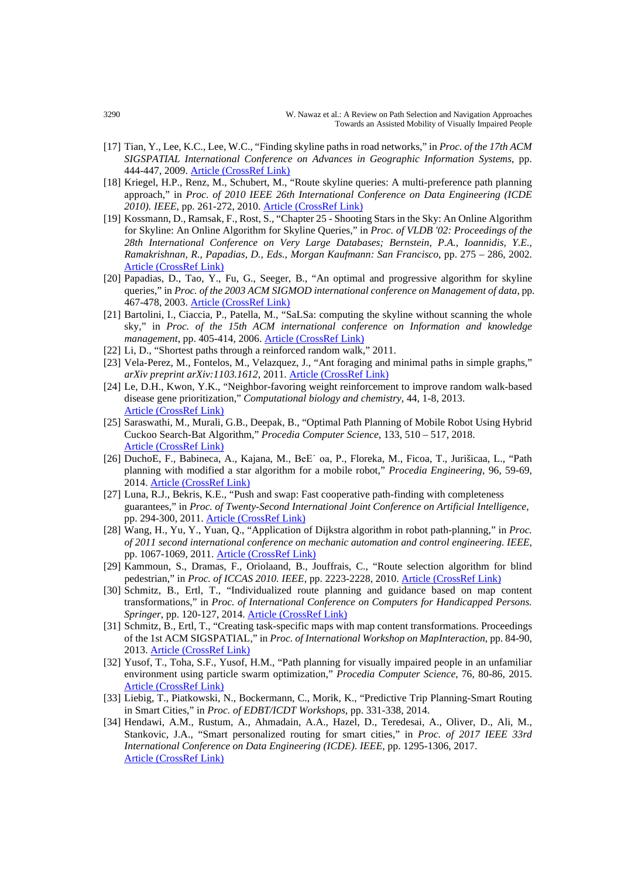- [17] Tian, Y., Lee, K.C., Lee, W.C., "Finding skyline paths in road networks," in *Proc. of the 17th ACM SIGSPATIAL International Conference on Advances in Geographic Information Systems*, pp. 444-447, 2009. **[Article \(CrossRef Link\)](https://doi.org/10.1145/1653771.1653840)**
- [18] Kriegel, H.P., Renz, M., Schubert, M., "Route skyline queries: A multi-preference path planning approach," in *Proc. of 2010 IEEE 26th International Conference on Data Engineering (ICDE 2010). IEEE*, pp. 261-272, 2010. [Article \(CrossRef Link\)](https://doi.org/10.1109/ICDE.2010.5447845)
- [19] Kossmann, D., Ramsak, F., Rost, S., "Chapter 25 Shooting Stars in the Sky: An Online Algorithm for Skyline: An Online Algorithm for Skyline Queries," in *Proc. of VLDB '02: Proceedings of the 28th International Conference on Very Large Databases; Bernstein, P.A., Ioannidis, Y.E., Ramakrishnan, R., Papadias, D., Eds., Morgan Kaufmann: San Francisco*, pp. 275 – 286, 2002. [Article \(CrossRef Link\)](https://doi.org/10.1016/B978-155860869-6/50032-9)
- [20] Papadias, D., Tao, Y., Fu, G., Seeger, B., "An optimal and progressive algorithm for skyline queries," in *Proc. of the 2003 ACM SIGMOD international conference on Management of data*, pp. 467-478, 2003. [Article \(CrossRef Link\)](https://doi.org/10.1145/872757.872814)
- [21] Bartolini, I., Ciaccia, P., Patella, M., "SaLSa: computing the skyline without scanning the whole sky," in *Proc. of the 15th ACM international conference on Information and knowledge management*, pp. 405-414, 2006. [Article \(CrossRef Link\)](https://doi.org/10.1145/1183614.1183674)
- [22] Li, D., "Shortest paths through a reinforced random walk," 2011.
- [23] Vela-Perez, M., Fontelos, M., Velazquez, J., "Ant foraging and minimal paths in simple graphs," *arXiv preprint arXiv:1103.1612*, 2011. [Article \(CrossRef Link\)](https://arxiv.org/abs/1103.1612)
- [24] Le, D.H., Kwon, Y.K., "Neighbor-favoring weight reinforcement to improve random walk-based disease gene prioritization," *Computational biology and chemistry*, 44, 1-8, 2013. [Article \(CrossRef Link\)](https://doi.org/10.1016/j.compbiolchem.2013.01.001)
- [25] Saraswathi, M., Murali, G.B., Deepak, B., "Optimal Path Planning of Mobile Robot Using Hybrid Cuckoo Search-Bat Algorithm," *Procedia Computer Science*, 133, 510 – 517, 2018. [Article \(CrossRef Link\)](https://doi.org/10.1016/j.procs.2018.07.064)
- [26] DuchoE, F., Babineca, A., Kajana, M., BeE˙ oa, P., Floreka, M., Ficoa, T., Jurišicaa, L., "Path planning with modified a star algorithm for a mobile robot," *Procedia Engineering*, 96, 59-69, 2014. [Article \(CrossRef Link\)](https://doi.org/10.1016/j.proeng.2014.12.098)
- [27] Luna, R.J., Bekris, K.E., "Push and swap: Fast cooperative path-finding with completeness guarantees," in *Proc. of Twenty-Second International Joint Conference on Artificial Intelligence*, pp. 294-300, 2011[. Article \(CrossRef Link\)](http://dx.doi.org/doi:10.5591/978-1-57735-516-8/IJCAI11-059)
- [28] Wang, H., Yu, Y., Yuan, Q., "Application of Dijkstra algorithm in robot path-planning," in *Proc. of 2011 second international conference on mechanic automation and control engineering. IEEE*, pp. 1067-1069, 2011[. Article \(CrossRef Link\)](http://dx.doi.org/doi:10.1109/MACE.2011.5987118)
- [29] Kammoun, S., Dramas, F., Oriolaand, B., Jouffrais, C., "Route selection algorithm for blind pedestrian," in *Proc. of ICCAS 2010. IEEE*, pp. 2223-2228, 2010. [Article \(CrossRef Link\)](https://ieeexplore.ieee.org/document/5669846)
- [30] Schmitz, B., Ertl, T., "Individualized route planning and guidance based on map content transformations," in *Proc. of International Conference on Computers for Handicapped Persons. Springer*, pp. 120-127, 2014. [Article \(CrossRef Link\)](https://doi.org/10.1007/978-3-319-08599-9_19)
- [31] Schmitz, B., Ertl, T., "Creating task-specific maps with map content transformations. Proceedings of the 1st ACM SIGSPATIAL," in *Proc. of International Workshop on MapInteraction*, pp. 84-90, 2013. [Article \(CrossRef Link\)](https://doi.org/10.1145/2534931.2534945)
- [32] Yusof, T., Toha, S.F., Yusof, H.M., "Path planning for visually impaired people in an unfamiliar environment using particle swarm optimization," *Procedia Computer Science*, 76, 80-86, 2015. [Article \(CrossRef Link\)](https://doi.org/10.1016/j.procs.2015.12.281)
- [33] Liebig, T., Piatkowski, N., Bockermann, C., Morik, K., "Predictive Trip Planning-Smart Routing in Smart Cities," in *Proc. of EDBT/ICDT Workshops*, pp. 331-338, 2014.
- [34] Hendawi, A.M., Rustum, A., Ahmadain, A.A., Hazel, D., Teredesai, A., Oliver, D., Ali, M., Stankovic, J.A., "Smart personalized routing for smart cities," in *Proc. of 2017 IEEE 33rd International Conference on Data Engineering (ICDE). IEEE*, pp. 1295-1306, 2017. [Article \(CrossRef Link\)](https://doi.org/10.1109/ICDE.2017.172)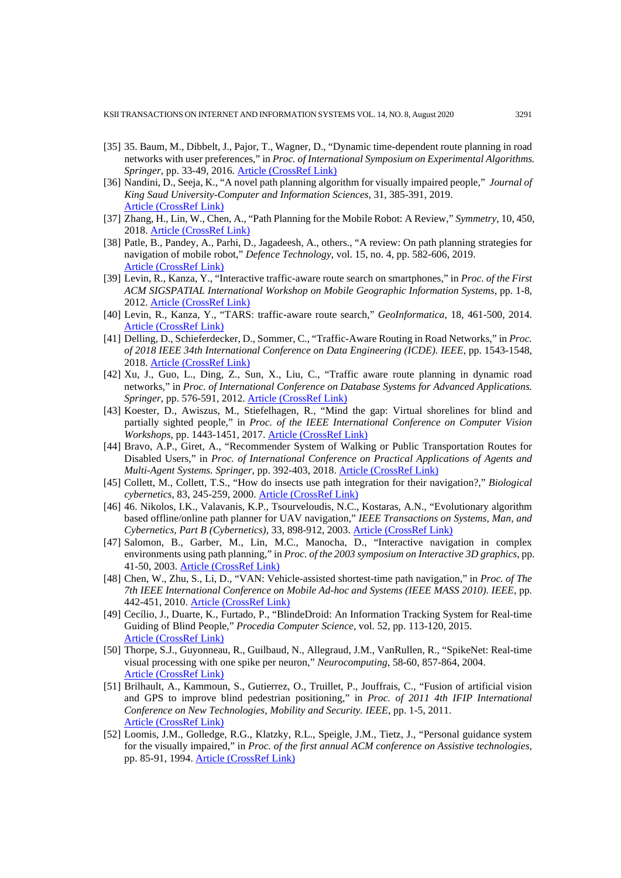- [35] 35. Baum, M., Dibbelt, J., Pajor, T., Wagner, D., "Dynamic time-dependent route planning in road networks with user preferences," in *Proc. of International Symposium on Experimental Algorithms. Springer*, pp. 33-49, 2016. [Article \(CrossRef Link\)](https://doi.org/10.1007/978-3-319-38851-9_3)
- [36] Nandini, D., Seeja, K., "A novel path planning algorithm for visually impaired people," *Journal of King Saud University-Computer and Information Sciences*, 31, 385-391, 2019. [Article \(CrossRef Link\)](https://doi.org/10.1016/j.jksuci.2017.03.005)
- [37] Zhang, H., Lin, W., Chen, A., "Path Planning for the Mobile Robot: A Review," *Symmetry*, 10, 450, 2018. [Article \(CrossRef Link\)](https://doi.org/10.3390/sym10100450)
- [38] Patle, B., Pandey, A., Parhi, D., Jagadeesh, A., others., "A review: On path planning strategies for navigation of mobile robot," *Defence Technology*, vol. 15, no. 4, pp. 582-606, 2019. [Article \(CrossRef Link\)](https://doi.org/10.1016/j.dt.2019.04.011)
- [39] Levin, R., Kanza, Y., "Interactive traffic-aware route search on smartphones," in *Proc. of the First ACM SIGSPATIAL International Workshop on Mobile Geographic Information Systems*, pp. 1-8, 2012. [Article \(CrossRef Link\)](https://doi.org/10.1145/2442810.2442812)
- [40] Levin, R., Kanza, Y., "TARS: traffic-aware route search," *GeoInformatica*, 18, 461-500, 2014. [Article \(CrossRef Link\)](https://doi.org/10.1007/s10707-013-0185-z)
- [41] Delling, D., Schieferdecker, D., Sommer, C., "Traffic-Aware Routing in Road Networks," in *Proc. of 2018 IEEE 34th International Conference on Data Engineering (ICDE). IEEE*, pp. 1543-1548, 2018. [Article \(CrossRef Link\)](https://doi.org/10.1109/ICDE.2018.00172)
- [42] Xu, J., Guo, L., Ding, Z., Sun, X., Liu, C., "Traffic aware route planning in dynamic road networks," in *Proc. of International Conference on Database Systems for Advanced Applications. Springer*, pp. 576-591, 2012. [Article \(CrossRef Link\)](https://doi.org/10.1007/978-3-642-29038-1_41)
- [43] Koester, D., Awiszus, M., Stiefelhagen, R., "Mind the gap: Virtual shorelines for blind and partially sighted people," in *Proc. of the IEEE International Conference on Computer Vision Workshops*, pp. 1443-1451, 2017. [Article \(CrossRef Link\)](https://doi.org/10.1109/ICCVW.2017.171)
- [44] Bravo, A.P., Giret, A., "Recommender System of Walking or Public Transportation Routes for Disabled Users," in *Proc. of International Conference on Practical Applications of Agents and Multi-Agent Systems. Springer*, pp. 392-403, 2018. [Article \(CrossRef Link\)](https://doi.org/10.1007/978-3-319-94779-2_34)
- [45] Collett, M., Collett, T.S., "How do insects use path integration for their navigation?," *Biological cybernetics*, 83, 245-259, 2000. [Article \(CrossRef Link\)](https://doi.org/10.1007/s004220000168)
- [46] 46. Nikolos, I.K., Valavanis, K.P., Tsourveloudis, N.C., Kostaras, A.N., "Evolutionary algorithm based offline/online path planner for UAV navigation," *IEEE Transactions on Systems, Man, and Cybernetics, Part B (Cybernetics)*, 33, 898-912, 2003. [Article \(CrossRef Link\)](https://doi.org/10.1109/TSMCB.2002.804370)
- [47] Salomon, B., Garber, M., Lin, M.C., Manocha, D., "Interactive navigation in complex environments using path planning," in *Proc. of the 2003 symposium on Interactive 3D graphics*, pp. 41-50, 2003. [Article \(CrossRef Link\)](https://doi.org/10.1145/641480.641491)
- [48] Chen, W., Zhu, S., Li, D., "VAN: Vehicle-assisted shortest-time path navigation," in *Proc. of The 7th IEEE International Conference on Mobile Ad-hoc and Systems (IEEE MASS 2010). IEEE*, pp. 442-451, 2010. [Article \(CrossRef Link\)](https://doi.org/10.1109/MASS.2010.5663936)
- [49] Cecílio, J., Duarte, K., Furtado, P., "BlindeDroid: An Information Tracking System for Real-time Guiding of Blind People," *Procedia Computer Science*, vol. 52, pp. 113-120, 2015. [Article \(CrossRef Link\)](https://doi.org/10.1016/j.procs.2015.05.039)
- [50] Thorpe, S.J., Guyonneau, R., Guilbaud, N., Allegraud, J.M., VanRullen, R., "SpikeNet: Real-time visual processing with one spike per neuron," *Neurocomputing*, 58-60, 857-864, 2004. [Article \(CrossRef Link\)](https://doi.org/10.1016/j.neucom.2004.01.138)
- [51] Brilhault, A., Kammoun, S., Gutierrez, O., Truillet, P., Jouffrais, C., "Fusion of artificial vision and GPS to improve blind pedestrian positioning," in *Proc. of 2011 4th IFIP International Conference on New Technologies, Mobility and Security. IEEE*, pp. 1-5, 2011. [Article \(CrossRef Link\)](https://doi.org/10.1109/NTMS.2011.5721061)
- [52] Loomis, J.M., Golledge, R.G., Klatzky, R.L., Speigle, J.M., Tietz, J., "Personal guidance system for the visually impaired," in *Proc. of the first annual ACM conference on Assistive technologies*, pp. 85-91, 1994. [Article \(CrossRef Link\)](https://doi.org/10.1145/191028.191051)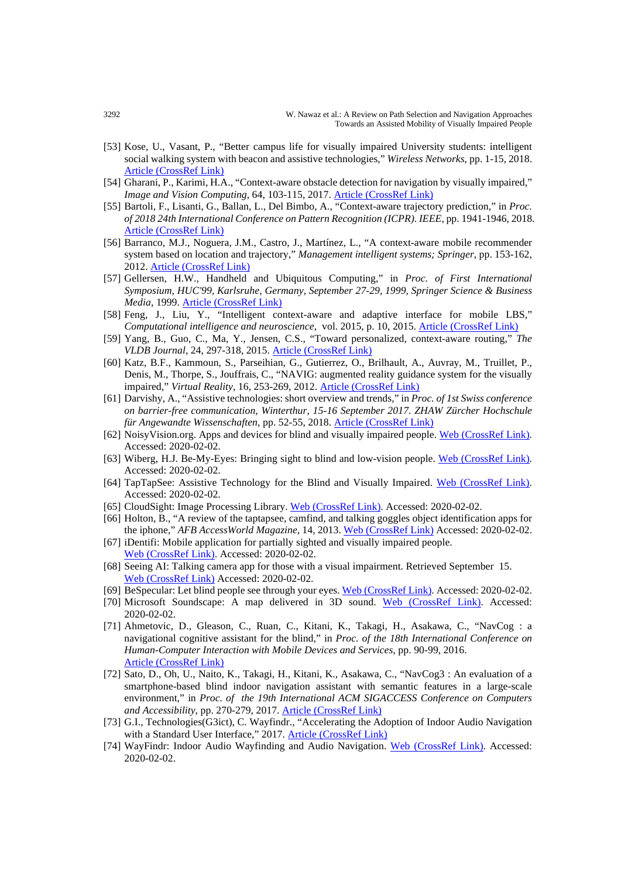- [53] Kose, U., Vasant, P., "Better campus life for visually impaired University students: intelligent social walking system with beacon and assistive technologies," *Wireless Networks*, pp. 1-15, 2018. [Article \(CrossRef Link\)](https://doi.org/10.1007/s11276-018-1868-z)
- [54] Gharani, P., Karimi, H.A., "Context-aware obstacle detection for navigation by visually impaired," *Image and Vision Computing*, 64, 103-115, 2017. [Article \(CrossRef Link\)](https://doi.org/10.1016/j.imavis.2017.06.002)
- [55] Bartoli, F., Lisanti, G., Ballan, L., Del Bimbo, A., "Context-aware trajectory prediction," in *Proc. of 2018 24th International Conference on Pattern Recognition (ICPR). IEEE*, pp. 1941-1946, 2018. [Article \(CrossRef Link\)](https://doi.org/10.1109/ICPR.2018.8545447)
- [56] Barranco, M.J., Noguera, J.M., Castro, J., Martínez, L., "A context-aware mobile recommender system based on location and trajectory," *Management intelligent systems; Springer*, pp. 153-162, 2012. [Article \(CrossRef Link\)](https://doi.org/10.1007/978-3-642-30864-2_15)
- [57] Gellersen, H.W., Handheld and Ubiquitous Computing," in *Proc. of First International Symposium, HUC'99, Karlsruhe, Germany, September 27-29, 1999, Springer Science & Business Media*, 1999. [Article \(CrossRef Link\)](https://doi.org/10.1007/3-540-48157-5)
- [58] Feng, J., Liu, Y., "Intelligent context-aware and adaptive interface for mobile LBS," *Computational intelligence and neuroscience*, vol. 2015, p. 10, 2015. [Article \(CrossRef Link\)](https://doi.org/10.1155/2015/489793)
- [59] Yang, B., Guo, C., Ma, Y., Jensen, C.S., "Toward personalized, context-aware routing," *The VLDB Journal*, 24, 297-318, 2015. [Article \(CrossRef Link\)](https://doi.org/10.1007/s00778-015-0378-1)
- [60] Katz, B.F., Kammoun, S., Parseihian, G., Gutierrez, O., Brilhault, A., Auvray, M., Truillet, P., Denis, M., Thorpe, S., Jouffrais, C., "NAVIG: augmented reality guidance system for the visually impaired," *Virtual Reality*, 16, 253-269, 2012. [Article \(CrossRef Link\)](https://doi.org/10.1007/s10055-012-0213-6)
- [61] Darvishy, A., "Assistive technologies: short overview and trends," in *Proc. of 1st Swiss conference on barrier-free communication, Winterthur, 15-16 September 2017. ZHAW Zürcher Hochschule für Angewandte Wissenschaften*, pp. 52-55, 2018. [Article \(CrossRef Link\)](http://dx.doi.org/doi:10.21256/zhaw-2783)
- [62] NoisyVision.org. Apps and devices for blind and visually impaired people. [Web \(CrossRef Link\).](https://www.noisyvision.org/2018/08/01/app-and-devices-for-blind-and-visually-impaired/) Accessed: 2020-02-02.
- [63] Wiberg, H.J. Be-My-Eyes: Bringing sight to blind and low-vision people. [Web \(CrossRef Link\).](https://www.bemyeyes.com/) Accessed: 2020-02-02.
- [64] TapTapSee: Assistive Technology for the Blind and Visually Impaired. [Web \(CrossRef Link\).](https://taptapseeapp.com/) Accessed: 2020-02-02.
- [65] CloudSight: Image Processing Library[. Web \(CrossRef Link\).](https://cloudsight.ai/) Accessed: 2020-02-02.
- [66] Holton, B., "A review of the taptapsee, camfind, and talking goggles object identification apps for the iphone," *AFB AccessWorld Magazine*, 14, 2013. [Web \(CrossRef Link\)](https://www.afb.org/aw/14/7/15675) Accessed: 2020-02-02.
- [67] iDentifi: Mobile application for partially sighted and visually impaired people. [Web \(CrossRef Link\).](http://getidentifi.com/) Accessed: 2020-02-02.
- [68] Seeing AI: Talking camera app for those with a visual impairment. Retrieved September 15. [Web \(CrossRef Link\)](https://www.microsoft.com/en-us/ai/seeing-ai) Accessed: 2020-02-02.
- [69] BeSpecular: Let blind people see through your eyes[. Web \(CrossRef Link\).](http://www.bespecular.com/en/) Accessed: 2020-02-02.
- [70] Microsoft Soundscape: A map delivered in 3D sound. [Web \(CrossRef Link\).](https://www.microsoft.com/en-us/research/product/soundscape/) Accessed: 2020-02-02.
- [71] Ahmetovic, D., Gleason, C., Ruan, C., Kitani, K., Takagi, H., Asakawa, C., "NavCog : a navigational cognitive assistant for the blind," in *Proc. of the 18th International Conference on Human-Computer Interaction with Mobile Devices and Services*, pp. 90-99, 2016. [Article \(CrossRef Link\)](https://doi.org/10.1145/2935334.2935361)
- [72] Sato, D., Oh, U., Naito, K., Takagi, H., Kitani, K., Asakawa, C., "NavCog3 : An evaluation of a smartphone-based blind indoor navigation assistant with semantic features in a large-scale environment," in *Proc. of the 19th International ACM SIGACCESS Conference on Computers and Accessibility*, pp. 270-279, 2017. [Article \(CrossRef Link\)](https://doi.org/10.1145/3132525.3132535)
- [73] G.I., Technologies(G3ict), C. Wayfindr., "Accelerating the Adoption of Indoor Audio Navigation with a Standard User Interface," 2017. [Article \(CrossRef Link\)](https://gallery.mailchimp.com/1d8295f81a8d7f63ba69beff5/files/141a8643-b5dc-4f59-b734-1fda3f04913a/Wayfindr_G3ICT_White_%20Paper.pdf)
- [74] WayFindr: Indoor Audio Wayfinding and Audio Navigation. [Web \(CrossRef Link\).](https://www.wayfindr.net/how-audio-navigation-works) Accessed: 2020-02-02.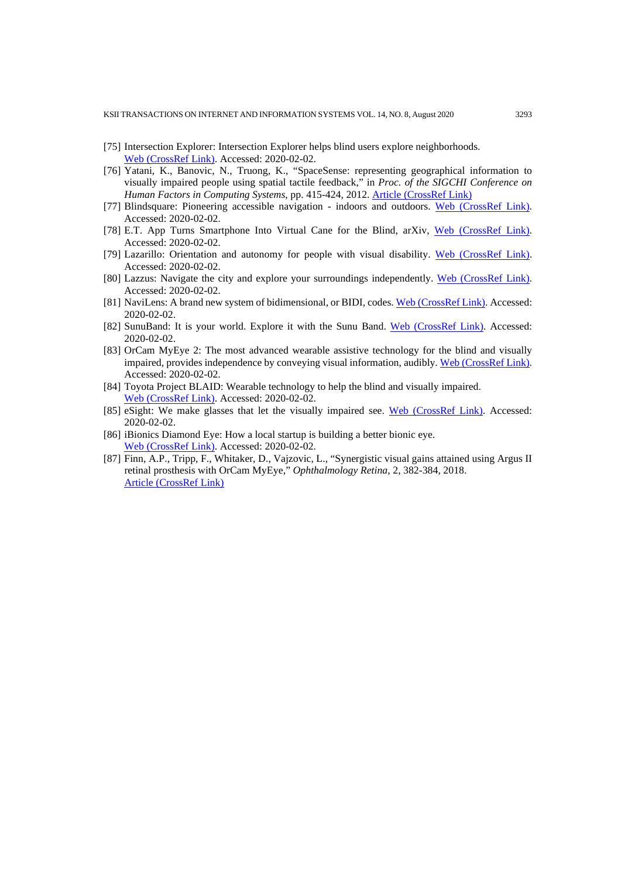- [75] Intersection Explorer: Intersection Explorer helps blind users explore neighborhoods. [Web \(CrossRef Link\).](https://www.appbrain.com/app/intersection-explorer/com.google.android.marvin.intersectionexplorer) Accessed: 2020-02-02.
- [76] Yatani, K., Banovic, N., Truong, K., "SpaceSense: representing geographical information to visually impaired people using spatial tactile feedback," in *Proc. of the SIGCHI Conference on Human Factors in Computing Systems*, pp. 415-424, 2012. [Article \(CrossRef Link\)](https://doi.org/10.1145/2207676.2207734)
- [77] Blindsquare: Pioneering accessible navigation indoors and outdoors. [Web \(CrossRef Link\).](https://www.blindsquare.com/) Accessed: 2020-02-02.
- [78] E.T. App Turns Smartphone Into Virtual Cane for the Blind, arXiv, [Web \(CrossRef Link\).](https://www.technologyreview.com/s/523401/app-turns-smartphone-into-virtual-cane-for-the-blind/) Accessed: 2020-02-02.
- [79] Lazarillo: Orientation and autonomy for people with visual disability. [Web \(CrossRef Link\).](https://lazarillo.cl/en/) Accessed: 2020-02-02.
- [80] Lazzus: Navigate the city and explore your surroundings independently. [Web \(CrossRef Link\).](http://www.lazzus.com/) Accessed: 2020-02-02.
- [81] NaviLens: A brand new system of bidimensional, or BIDI, codes. [Web \(CrossRef Link\).](https://www.navilens.com/) Accessed: 2020-02-02.
- [82] SunuBand: It is your world. Explore it with the Sunu Band. [Web \(CrossRef Link\).](https://www.sunu.com/en/index.html) Accessed: 2020-02-02.
- [83] OrCam MyEye 2: The most advanced wearable assistive technology for the blind and visually impaired, provides independence by conveying visual information, audibly. [Web \(CrossRef Link\).](https://www.orcam.com/en/myeye2/) Accessed: 2020-02-02.
- [84] Toyota Project BLAID: Wearable technology to help the blind and visually impaired. [Web \(CrossRef Link\).](https://www.toyota.co.uk/world-of-toyota/stories-news-events/toyota-project-blaid) Accessed: 2020-02-02.
- [85] eSight: We make glasses that let the visually impaired see. [Web \(CrossRef Link\).](https://www.esighteyewear.eu/) Accessed: 2020-02-02.
- [86] iBionics Diamond Eye: How a local startup is building a better bionic eye. [Web \(CrossRef Link\).](https://ottawacitizen.com/news/local-news/a-clear-view-how-a-local-startup-is-building-a-better-bionic-eye) Accessed: 2020-02-02.
- [87] Finn, A.P., Tripp, F., Whitaker, D., Vajzovic, L., "Synergistic visual gains attained using Argus II retinal prosthesis with OrCam MyEye," *Ophthalmology Retina*, 2, 382-384, 2018. [Article \(CrossRef Link\)](https://doi.org/10.1016/j.oret.2017.08.008)